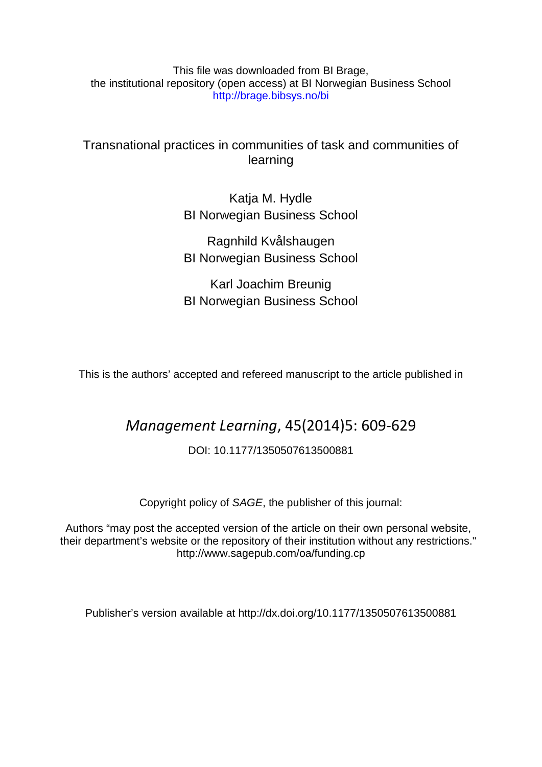This file was downloaded from BI Brage, the institutional repository (open access) at BI Norwegian Business School http://brage.bibsys.no/bi

# Transnational practices in communities of task and communities of learning

Katja M. Hydle BI Norwegian Business School

Ragnhild Kvålshaugen BI Norwegian Business School

Karl Joachim Breunig BI Norwegian Business School

This is the authors' accepted and refereed manuscript to the article published in

# *Management Learning*, 45(2014)5: 609-629

# DOI: 10.1177/1350507613500881

Copyright policy of *SAGE*, the publisher of this journal:

Authors "may post the accepted version of the article on their own personal website, their department's website or the repository of their institution without any restrictions." http://www.sagepub.com/oa/funding.cp

Publisher's version available at http://dx.doi.org/10.1177/1350507613500881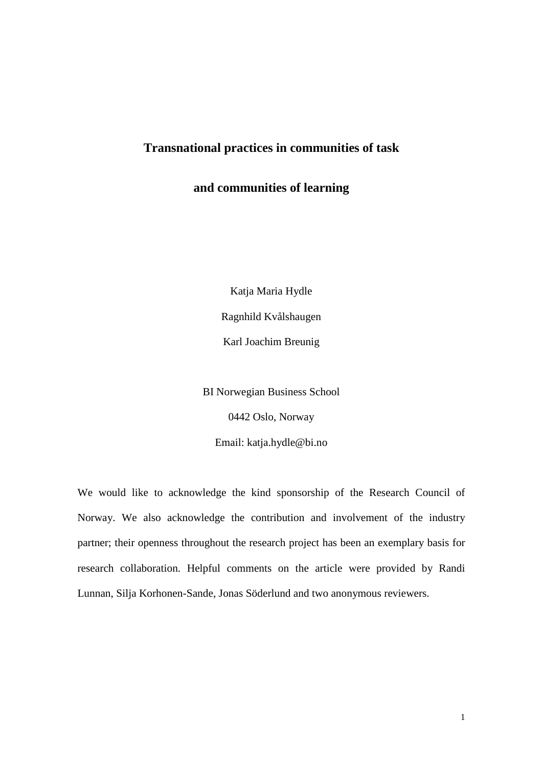# **Transnational practices in communities of task**

**and communities of learning**

Katja Maria Hydle Ragnhild Kvålshaugen Karl Joachim Breunig

BI Norwegian Business School

0442 Oslo, Norway

Email: katja.hydle@bi.n[o](mailto:ragnhild.kvalshaugen@bi.no)

We would like to acknowledge the kind sponsorship of the Research Council of Norway. We also acknowledge the contribution and involvement of the industry partner; their openness throughout the research project has been an exemplary basis for research collaboration. Helpful comments on the article were provided by Randi Lunnan, Silja Korhonen-Sande, Jonas Söderlund and two anonymous reviewers.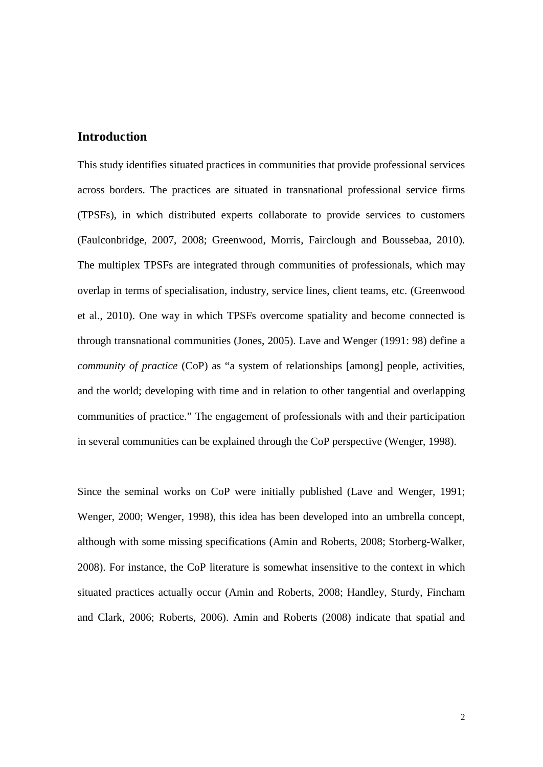# **Introduction**

This study identifies situated practices in communities that provide professional services across borders. The practices are situated in transnational professional service firms (TPSFs), in which distributed experts collaborate to provide services to customers [\(Faulconbridge, 2007,](#page-38-0) [2008;](#page-38-1) [Greenwood, Morris, Fairclough and Boussebaa, 2010\)](#page-39-0). The multiplex TPSFs are integrated through communities of professionals, which may overlap in terms of specialisation, industry, service lines, client teams, etc. [\(Greenwood](#page-39-0)  [et al., 2010\)](#page-39-0). One way in which TPSFs overcome spatiality and become connected is through transnational communities [\(Jones, 2005\)](#page-39-1). Lave and Wenger (1991: 98) define a *community of practice* (CoP) as "a system of relationships [among] people, activities, and the world; developing with time and in relation to other tangential and overlapping communities of practice." The engagement of professionals with and their participation in several communities can be explained through the CoP perspective [\(Wenger, 1998\)](#page-42-0).

Since the seminal works on CoP were initially published [\(Lave and Wenger, 1991;](#page-40-0) [Wenger, 2000;](#page-42-1) [Wenger, 1998\)](#page-42-0), this idea has been developed into an umbrella concept, although with some missing specifications [\(Amin and Roberts, 2008;](#page-37-0) [Storberg-Walker,](#page-41-0)  [2008\)](#page-41-0). For instance, the CoP literature is somewhat insensitive to the context in which situated practices actually occur [\(Amin and Roberts, 2008;](#page-37-0) [Handley, Sturdy, Fincham](#page-39-2)  [and Clark, 2006;](#page-39-2) [Roberts, 2006\)](#page-41-1). Amin and Roberts [\(2008\)](#page-37-0) indicate that spatial and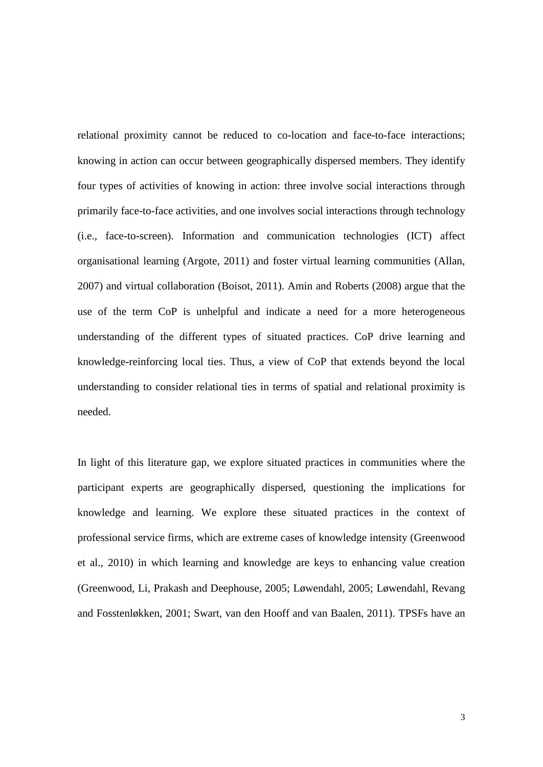relational proximity cannot be reduced to co-location and face-to-face interactions; knowing in action can occur between geographically dispersed members. They identify four types of activities of knowing in action: three involve social interactions through primarily face-to-face activities, and one involves social interactions through technology (i.e., face-to-screen). Information and communication technologies (ICT) affect organisational learning [\(Argote, 2011\)](#page-37-1) and foster virtual learning communities [\(Allan,](#page-37-2)  [2007\)](#page-37-2) and virtual collaboration [\(Boisot, 2011\)](#page-37-3). Amin and Roberts [\(2008\)](#page-37-0) argue that the use of the term CoP is unhelpful and indicate a need for a more heterogeneous understanding of the different types of situated practices. CoP drive learning and knowledge-reinforcing local ties. Thus, a view of CoP that extends beyond the local understanding to consider relational ties in terms of spatial and relational proximity is needed.

In light of this literature gap, we explore situated practices in communities where the participant experts are geographically dispersed, questioning the implications for knowledge and learning. We explore these situated practices in the context of professional service firms, which are extreme cases of knowledge intensity [\(Greenwood](#page-39-0)  [et al., 2010\)](#page-39-0) in which learning and knowledge are keys to enhancing value creation [\(Greenwood, Li, Prakash and Deephouse, 2005;](#page-39-3) [Løwendahl, 2005;](#page-40-1) [Løwendahl, Revang](#page-40-2)  [and Fosstenløkken, 2001;](#page-40-2) [Swart, van den Hooff and van Baalen, 2011\)](#page-41-2). TPSFs have an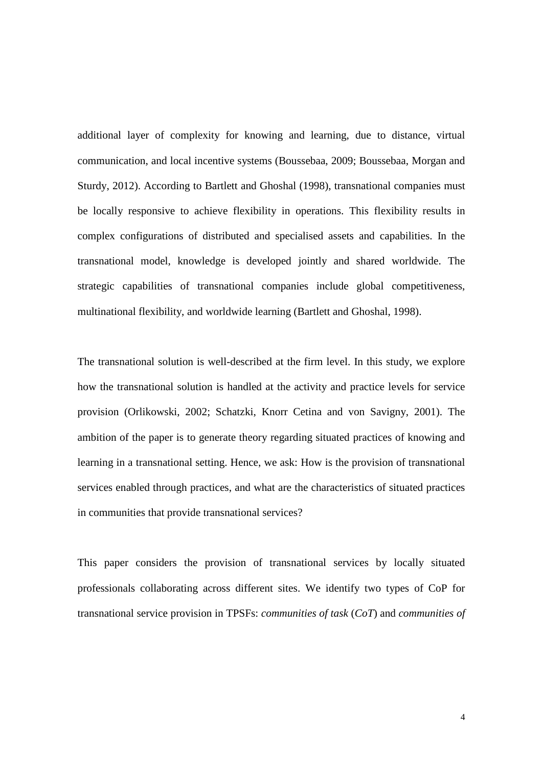additional layer of complexity for knowing and learning, due to distance, virtual communication, and local incentive systems [\(Boussebaa, 2009;](#page-37-4) [Boussebaa, Morgan and](#page-37-5)  [Sturdy, 2012\)](#page-37-5). According to Bartlett and Ghoshal [\(1998\)](#page-37-6), transnational companies must be locally responsive to achieve flexibility in operations. This flexibility results in complex configurations of distributed and specialised assets and capabilities. In the transnational model, knowledge is developed jointly and shared worldwide. The strategic capabilities of transnational companies include global competitiveness, multinational flexibility, and worldwide learning [\(Bartlett and Ghoshal, 1998\)](#page-37-6).

The transnational solution is well-described at the firm level. In this study, we explore how the transnational solution is handled at the activity and practice levels for service provision [\(Orlikowski, 2002;](#page-40-3) [Schatzki, Knorr Cetina and von Savigny, 2001\)](#page-41-3). The ambition of the paper is to generate theory regarding situated practices of knowing and learning in a transnational setting. Hence, we ask: How is the provision of transnational services enabled through practices, and what are the characteristics of situated practices in communities that provide transnational services?

This paper considers the provision of transnational services by locally situated professionals collaborating across different sites. We identify two types of CoP for transnational service provision in TPSFs: *communities of task* (*CoT*) and *communities of*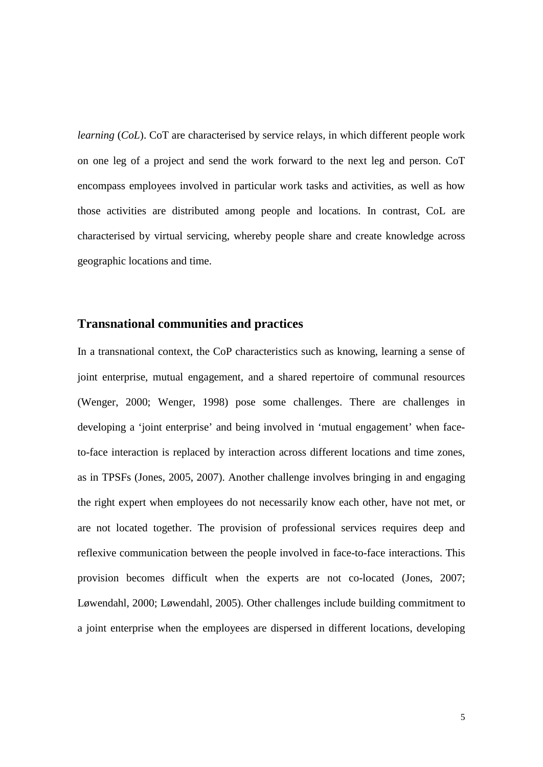*learning* (*CoL*). CoT are characterised by service relays, in which different people work on one leg of a project and send the work forward to the next leg and person. CoT encompass employees involved in particular work tasks and activities, as well as how those activities are distributed among people and locations. In contrast, CoL are characterised by virtual servicing, whereby people share and create knowledge across geographic locations and time.

## **Transnational communities and practices**

In a transnational context, the CoP characteristics such as knowing, learning a sense of joint enterprise, mutual engagement, and a shared repertoire of communal resources [\(Wenger, 2000;](#page-42-1) [Wenger, 1998\)](#page-42-0) pose some challenges. There are challenges in developing a 'joint enterprise' and being involved in 'mutual engagement' when faceto-face interaction is replaced by interaction across different locations and time zones, as in TPSFs [\(Jones, 2005,](#page-39-1) [2007\)](#page-39-4). Another challenge involves bringing in and engaging the right expert when employees do not necessarily know each other, have not met, or are not located together. The provision of professional services requires deep and reflexive communication between the people involved in face-to-face interactions. This provision becomes difficult when the experts are not co-located [\(Jones, 2007;](#page-39-4) [Løwendahl, 2000;](#page-40-4) [Løwendahl, 2005\)](#page-40-1). Other challenges include building commitment to a joint enterprise when the employees are dispersed in different locations, developing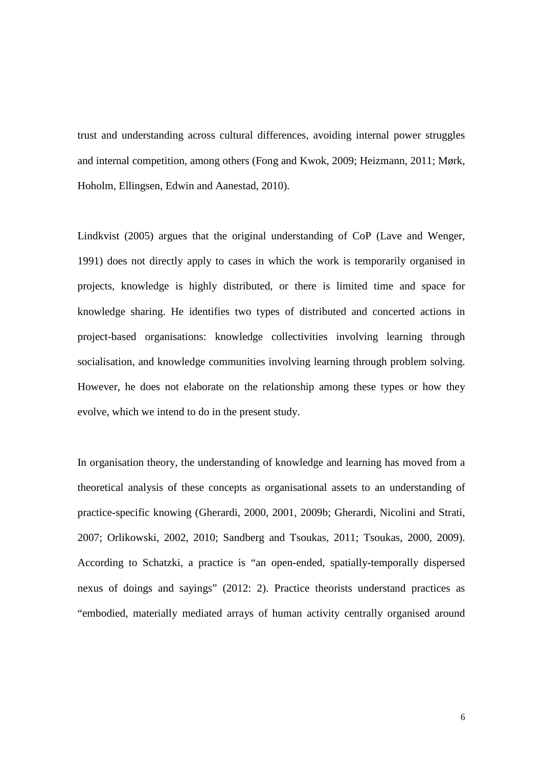trust and understanding across cultural differences, avoiding internal power struggles and internal competition, among others [\(Fong and Kwok, 2009;](#page-38-2) [Heizmann, 2011;](#page-39-5) [Mørk,](#page-40-5)  [Hoholm, Ellingsen, Edwin and Aanestad, 2010\)](#page-40-5).

Lindkvist [\(2005\)](#page-40-6) argues that the original understanding of CoP [\(Lave and Wenger,](#page-40-0)  [1991\)](#page-40-0) does not directly apply to cases in which the work is temporarily organised in projects, knowledge is highly distributed, or there is limited time and space for knowledge sharing. He identifies two types of distributed and concerted actions in project-based organisations: knowledge collectivities involving learning through socialisation, and knowledge communities involving learning through problem solving. However, he does not elaborate on the relationship among these types or how they evolve, which we intend to do in the present study.

In organisation theory, the understanding of knowledge and learning has moved from a theoretical analysis of these concepts as organisational assets to an understanding of practice-specific knowing [\(Gherardi, 2000,](#page-38-3) [2001,](#page-38-4) [2009b;](#page-38-5) [Gherardi, Nicolini and Strati,](#page-38-6)  [2007;](#page-38-6) [Orlikowski, 2002,](#page-40-3) [2010;](#page-40-7) [Sandberg and Tsoukas, 2011;](#page-41-4) [Tsoukas, 2000,](#page-41-5) [2009\)](#page-42-2). According to Schatzki, a practice is "an open-ended, spatially-temporally dispersed nexus of doings and sayings" [\(2012: 2\)](#page-41-6). Practice theorists understand practices as "embodied, materially mediated arrays of human activity centrally organised around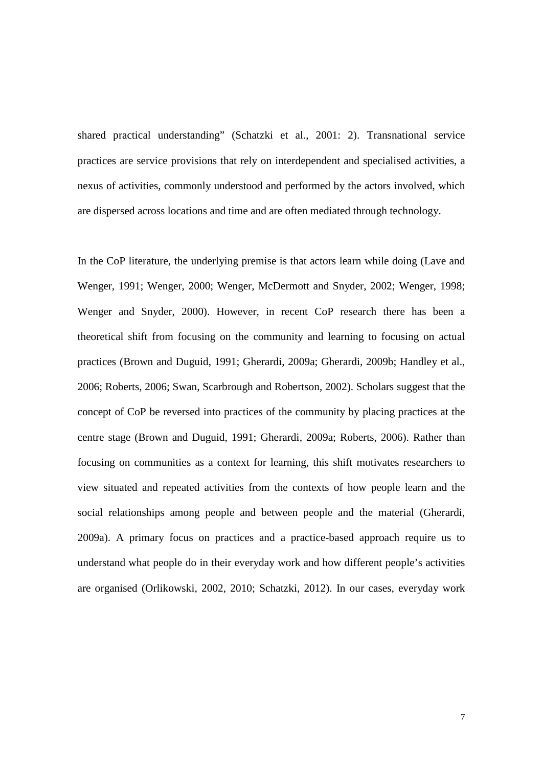shared practical understanding" [\(Schatzki et al., 2001: 2\)](#page-41-3). Transnational service practices are service provisions that rely on interdependent and specialised activities, a nexus of activities, commonly understood and performed by the actors involved, which are dispersed across locations and time and are often mediated through technology.

In the CoP literature, the underlying premise is that actors learn while doing [\(Lave and](#page-40-0)  [Wenger, 1991;](#page-40-0) [Wenger, 2000;](#page-42-1) [Wenger, McDermott and Snyder, 2002;](#page-42-3) [Wenger, 1998;](#page-42-0) [Wenger and Snyder, 2000\)](#page-42-4). However, in recent CoP research there has been a theoretical shift from focusing on the community and learning to focusing on actual practices [\(Brown and Duguid, 1991;](#page-37-7) [Gherardi, 2009a;](#page-38-7) [Gherardi, 2009b;](#page-38-5) [Handley et al.,](#page-39-2)  [2006;](#page-39-2) [Roberts, 2006;](#page-41-1) [Swan, Scarbrough and Robertson, 2002\)](#page-41-7). Scholars suggest that the concept of CoP be reversed into practices of the community by placing practices at the centre stage [\(Brown and Duguid, 1991;](#page-37-7) [Gherardi, 2009a;](#page-38-7) [Roberts, 2006\)](#page-41-1). Rather than focusing on communities as a context for learning, this shift motivates researchers to view situated and repeated activities from the contexts of how people learn and the social relationships among people and between people and the material [\(Gherardi,](#page-38-7)  [2009a\)](#page-38-7). A primary focus on practices and a practice-based approach require us to understand what people do in their everyday work and how different people's activities are organised [\(Orlikowski, 2002,](#page-40-3) [2010;](#page-40-7) [Schatzki, 2012\)](#page-41-6). In our cases, everyday work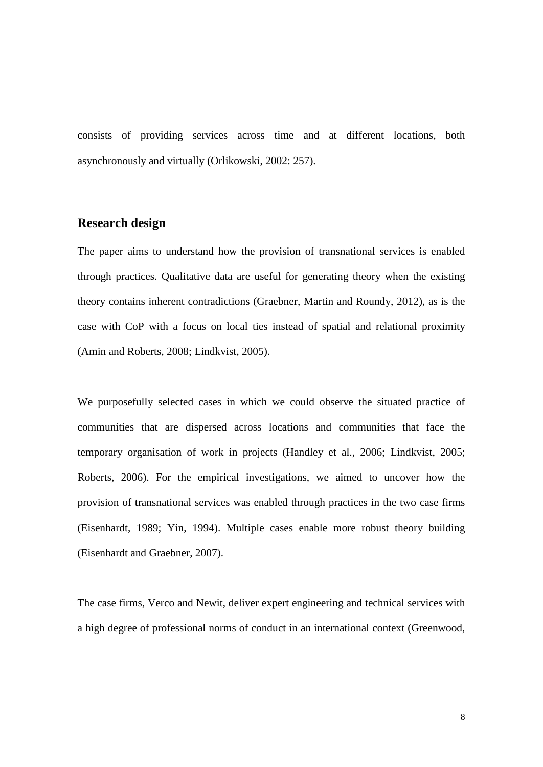consists of providing services across time and at different locations, both asynchronously and virtually [\(Orlikowski, 2002: 257\)](#page-40-3).

## **Research design**

The paper aims to understand how the provision of transnational services is enabled through practices. Qualitative data are useful for generating theory when the existing theory contains inherent contradictions [\(Graebner, Martin and Roundy, 2012\)](#page-38-8), as is the case with CoP with a focus on local ties instead of spatial and relational proximity [\(Amin and Roberts, 2008;](#page-37-0) [Lindkvist, 2005\)](#page-40-6).

We purposefully selected cases in which we could observe the situated practice of communities that are dispersed across locations and communities that face the temporary organisation of work in projects [\(Handley et al., 2006;](#page-39-2) [Lindkvist, 2005;](#page-40-6) [Roberts, 2006\)](#page-41-1). For the empirical investigations, we aimed to uncover how the provision of transnational services was enabled through practices in the two case firms [\(Eisenhardt, 1989;](#page-37-8) [Yin, 1994\)](#page-42-5). Multiple cases enable more robust theory building [\(Eisenhardt and Graebner, 2007\)](#page-37-9).

The case firms, Verco and Newit, deliver expert engineering and technical services with a high degree of professional norms of conduct in an international context [\(Greenwood,](#page-39-6)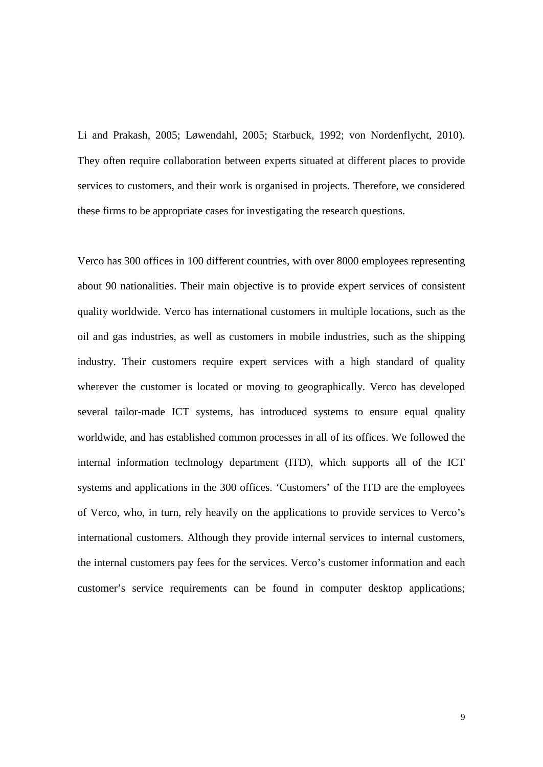[Li and Prakash, 2005;](#page-39-6) [Løwendahl, 2005;](#page-40-1) [Starbuck, 1992;](#page-41-8) [von Nordenflycht, 2010\)](#page-42-6). They often require collaboration between experts situated at different places to provide services to customers, and their work is organised in projects. Therefore, we considered these firms to be appropriate cases for investigating the research questions.

Verco has 300 offices in 100 different countries, with over 8000 employees representing about 90 nationalities. Their main objective is to provide expert services of consistent quality worldwide. Verco has international customers in multiple locations, such as the oil and gas industries, as well as customers in mobile industries, such as the shipping industry. Their customers require expert services with a high standard of quality wherever the customer is located or moving to geographically. Verco has developed several tailor-made ICT systems, has introduced systems to ensure equal quality worldwide, and has established common processes in all of its offices. We followed the internal information technology department (ITD), which supports all of the ICT systems and applications in the 300 offices. 'Customers' of the ITD are the employees of Verco, who, in turn, rely heavily on the applications to provide services to Verco's international customers. Although they provide internal services to internal customers, the internal customers pay fees for the services. Verco's customer information and each customer's service requirements can be found in computer desktop applications;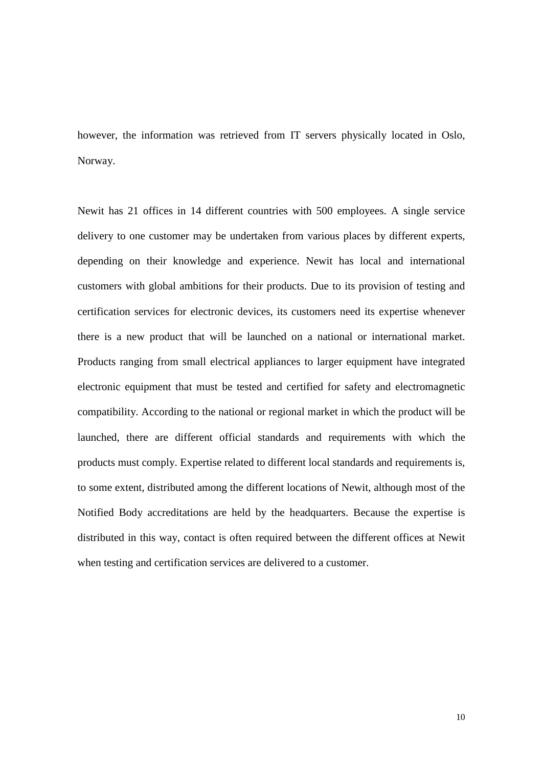however, the information was retrieved from IT servers physically located in Oslo, Norway.

Newit has 21 offices in 14 different countries with 500 employees. A single service delivery to one customer may be undertaken from various places by different experts, depending on their knowledge and experience. Newit has local and international customers with global ambitions for their products. Due to its provision of testing and certification services for electronic devices, its customers need its expertise whenever there is a new product that will be launched on a national or international market. Products ranging from small electrical appliances to larger equipment have integrated electronic equipment that must be tested and certified for safety and electromagnetic compatibility. According to the national or regional market in which the product will be launched, there are different official standards and requirements with which the products must comply. Expertise related to different local standards and requirements is, to some extent, distributed among the different locations of Newit, although most of the Notified Body accreditations are held by the headquarters. Because the expertise is distributed in this way, contact is often required between the different offices at Newit when testing and certification services are delivered to a customer.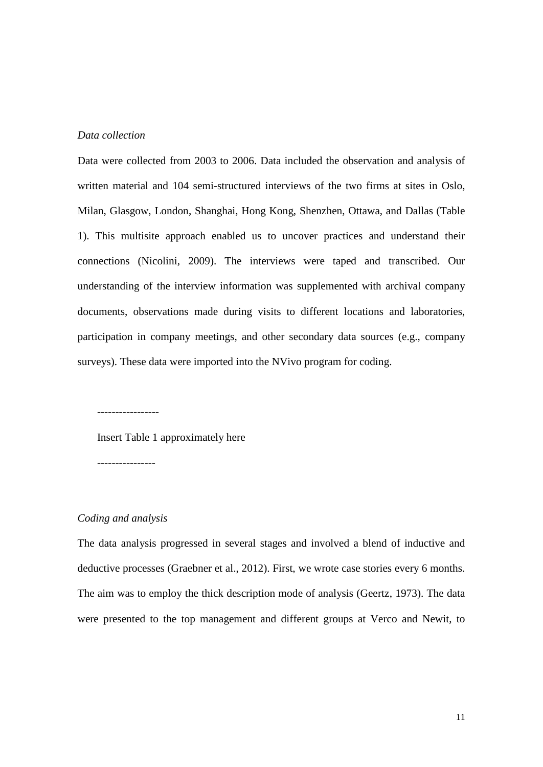#### *Data collection*

Data were collected from 2003 to 2006. Data included the observation and analysis of written material and 104 semi-structured interviews of the two firms at sites in Oslo, Milan, Glasgow, London, Shanghai, Hong Kong, Shenzhen, Ottawa, and Dallas (Table 1). This multisite approach enabled us to uncover practices and understand their connections [\(Nicolini, 2009\)](#page-40-8). The interviews were taped and transcribed. Our understanding of the interview information was supplemented with archival company documents, observations made during visits to different locations and laboratories, participation in company meetings, and other secondary data sources (e.g., company surveys). These data were imported into the NVivo program for coding.

-----------------

Insert Table 1 approximately here

----------------

#### *Coding and analysis*

The data analysis progressed in several stages and involved a blend of inductive and deductive processes [\(Graebner et al., 2012\)](#page-38-8). First, we wrote case stories every 6 months. The aim was to employ the thick description mode of analysis [\(Geertz, 1973\)](#page-38-9). The data were presented to the top management and different groups at Verco and Newit, to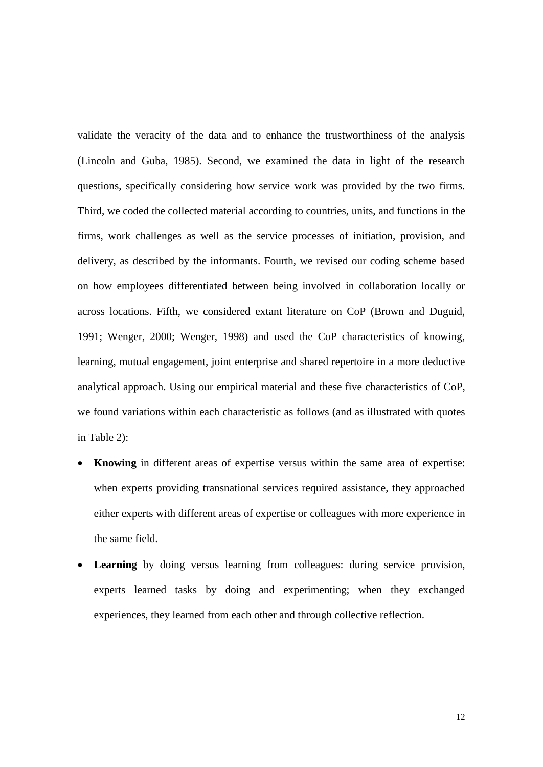validate the veracity of the data and to enhance the trustworthiness of the analysis [\(Lincoln and Guba, 1985\)](#page-40-9). Second, we examined the data in light of the research questions, specifically considering how service work was provided by the two firms. Third, we coded the collected material according to countries, units, and functions in the firms, work challenges as well as the service processes of initiation, provision, and delivery, as described by the informants. Fourth, we revised our coding scheme based on how employees differentiated between being involved in collaboration locally or across locations. Fifth, we considered extant literature on CoP [\(Brown and Duguid,](#page-37-7)  [1991;](#page-37-7) [Wenger, 2000;](#page-42-1) [Wenger, 1998\)](#page-42-0) and used the CoP characteristics of knowing, learning, mutual engagement, joint enterprise and shared repertoire in a more deductive analytical approach. Using our empirical material and these five characteristics of CoP, we found variations within each characteristic as follows (and as illustrated with quotes in Table 2):

- **Knowing** in different areas of expertise versus within the same area of expertise: when experts providing transnational services required assistance, they approached either experts with different areas of expertise or colleagues with more experience in the same field.
- **Learning** by doing versus learning from colleagues: during service provision, experts learned tasks by doing and experimenting; when they exchanged experiences, they learned from each other and through collective reflection.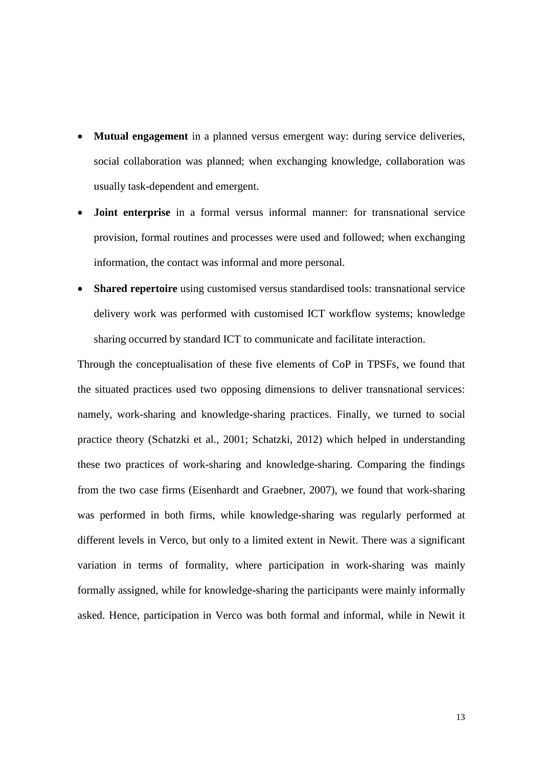- **Mutual engagement** in a planned versus emergent way: during service deliveries, social collaboration was planned; when exchanging knowledge, collaboration was usually task-dependent and emergent.
- **Joint enterprise** in a formal versus informal manner: for transnational service provision, formal routines and processes were used and followed; when exchanging information, the contact was informal and more personal.
- **Shared repertoire** using customised versus standardised tools: transnational service delivery work was performed with customised ICT workflow systems; knowledge sharing occurred by standard ICT to communicate and facilitate interaction.

Through the conceptualisation of these five elements of CoP in TPSFs, we found that the situated practices used two opposing dimensions to deliver transnational services: namely, work-sharing and knowledge-sharing practices. Finally, we turned to social practice theory [\(Schatzki et al., 2001;](#page-41-3) [Schatzki, 2012\)](#page-41-6) which helped in understanding these two practices of work-sharing and knowledge-sharing. Comparing the findings from the two case firms [\(Eisenhardt and Graebner, 2007\)](#page-37-9), we found that work-sharing was performed in both firms, while knowledge-sharing was regularly performed at different levels in Verco, but only to a limited extent in Newit. There was a significant variation in terms of formality, where participation in work-sharing was mainly formally assigned, while for knowledge-sharing the participants were mainly informally asked. Hence, participation in Verco was both formal and informal, while in Newit it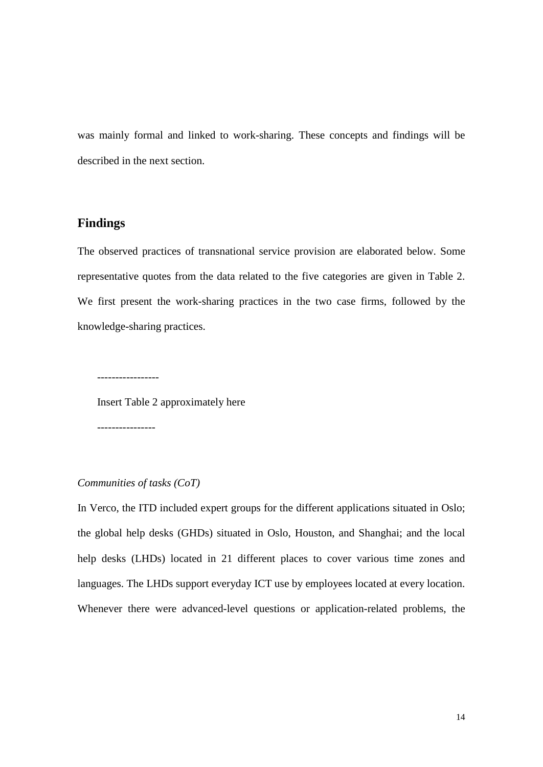was mainly formal and linked to work-sharing. These concepts and findings will be described in the next section.

## **Findings**

The observed practices of transnational service provision are elaborated below. Some representative quotes from the data related to the five categories are given in Table 2. We first present the work-sharing practices in the two case firms, followed by the knowledge-sharing practices.

Insert Table 2 approximately here

#### *Communities of tasks (CoT)*

-----------------

----------------

In Verco, the ITD included expert groups for the different applications situated in Oslo; the global help desks (GHDs) situated in Oslo, Houston, and Shanghai; and the local help desks (LHDs) located in 21 different places to cover various time zones and languages. The LHDs support everyday ICT use by employees located at every location. Whenever there were advanced-level questions or application-related problems, the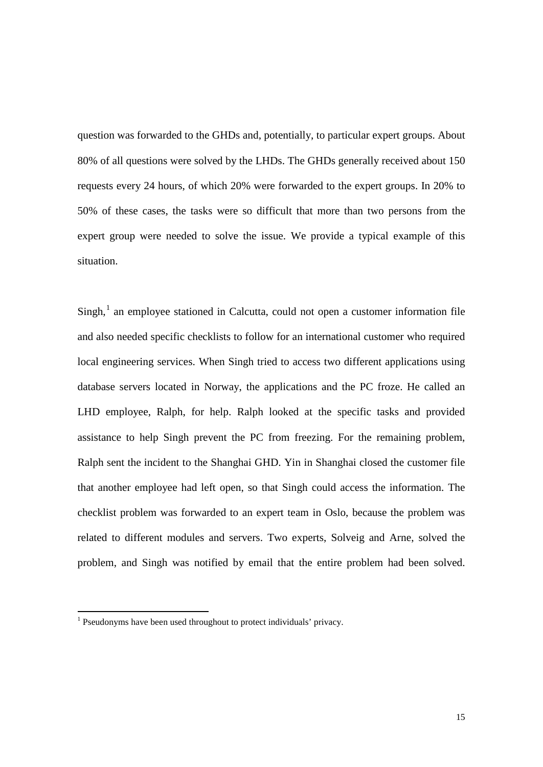question was forwarded to the GHDs and, potentially, to particular expert groups. About 80% of all questions were solved by the LHDs. The GHDs generally received about 150 requests every 24 hours, of which 20% were forwarded to the expert groups. In 20% to 50% of these cases, the tasks were so difficult that more than two persons from the expert group were needed to solve the issue. We provide a typical example of this situation.

 $Singh<sup>1</sup>$  $Singh<sup>1</sup>$  $Singh<sup>1</sup>$  an employee stationed in Calcutta, could not open a customer information file and also needed specific checklists to follow for an international customer who required local engineering services. When Singh tried to access two different applications using database servers located in Norway, the applications and the PC froze. He called an LHD employee, Ralph, for help. Ralph looked at the specific tasks and provided assistance to help Singh prevent the PC from freezing. For the remaining problem, Ralph sent the incident to the Shanghai GHD. Yin in Shanghai closed the customer file that another employee had left open, so that Singh could access the information. The checklist problem was forwarded to an expert team in Oslo, because the problem was related to different modules and servers. Two experts, Solveig and Arne, solved the problem, and Singh was notified by email that the entire problem had been solved.

<span id="page-15-0"></span> $<sup>1</sup>$  Pseudonyms have been used throughout to protect individuals' privacy.</sup>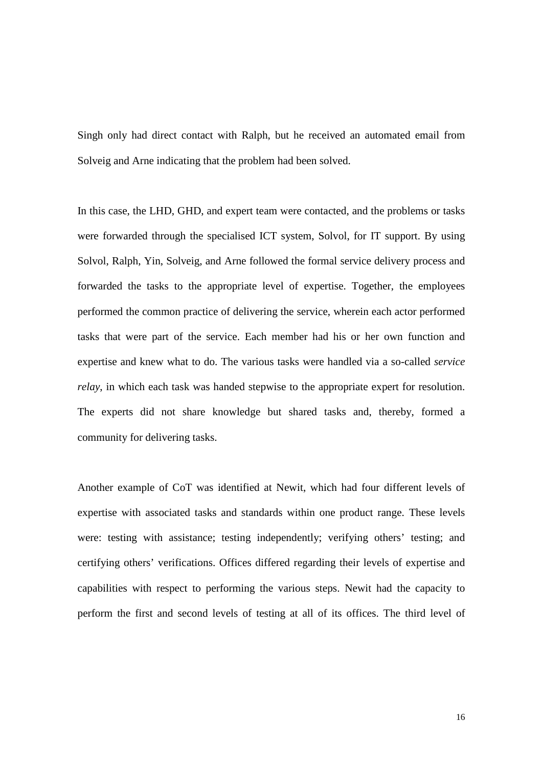Singh only had direct contact with Ralph, but he received an automated email from Solveig and Arne indicating that the problem had been solved.

In this case, the LHD, GHD, and expert team were contacted, and the problems or tasks were forwarded through the specialised ICT system, Solvol, for IT support. By using Solvol, Ralph, Yin, Solveig, and Arne followed the formal service delivery process and forwarded the tasks to the appropriate level of expertise. Together, the employees performed the common practice of delivering the service, wherein each actor performed tasks that were part of the service. Each member had his or her own function and expertise and knew what to do. The various tasks were handled via a so-called *service relay*, in which each task was handed stepwise to the appropriate expert for resolution. The experts did not share knowledge but shared tasks and, thereby, formed a community for delivering tasks.

Another example of CoT was identified at Newit, which had four different levels of expertise with associated tasks and standards within one product range. These levels were: testing with assistance; testing independently; verifying others' testing; and certifying others' verifications. Offices differed regarding their levels of expertise and capabilities with respect to performing the various steps. Newit had the capacity to perform the first and second levels of testing at all of its offices. The third level of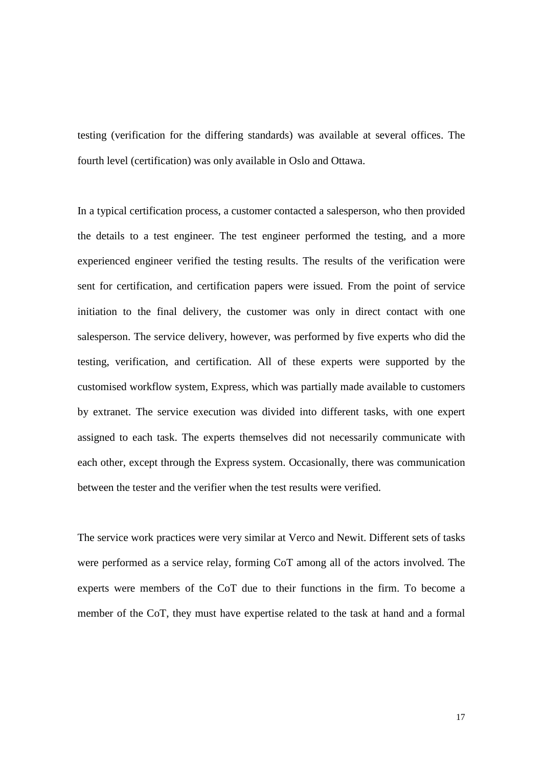testing (verification for the differing standards) was available at several offices. The fourth level (certification) was only available in Oslo and Ottawa.

In a typical certification process, a customer contacted a salesperson, who then provided the details to a test engineer. The test engineer performed the testing, and a more experienced engineer verified the testing results. The results of the verification were sent for certification, and certification papers were issued. From the point of service initiation to the final delivery, the customer was only in direct contact with one salesperson. The service delivery, however, was performed by five experts who did the testing, verification, and certification. All of these experts were supported by the customised workflow system, Express, which was partially made available to customers by extranet. The service execution was divided into different tasks, with one expert assigned to each task. The experts themselves did not necessarily communicate with each other, except through the Express system. Occasionally, there was communication between the tester and the verifier when the test results were verified.

The service work practices were very similar at Verco and Newit. Different sets of tasks were performed as a service relay, forming CoT among all of the actors involved. The experts were members of the CoT due to their functions in the firm. To become a member of the CoT, they must have expertise related to the task at hand and a formal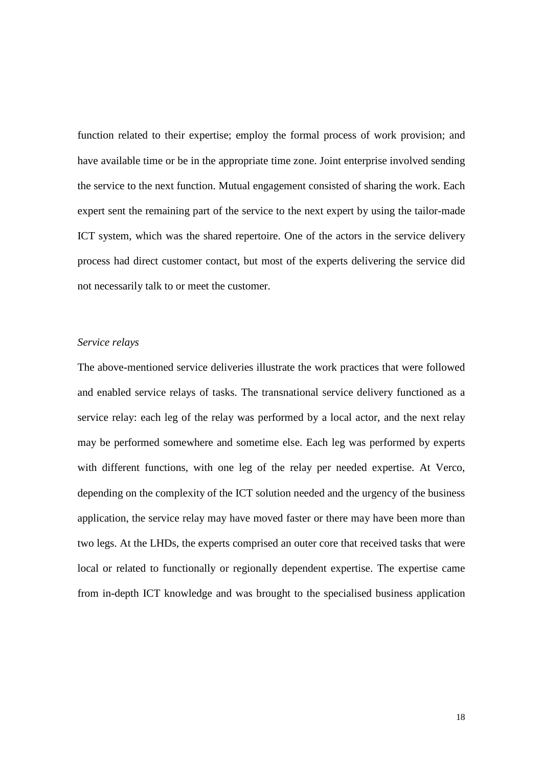function related to their expertise; employ the formal process of work provision; and have available time or be in the appropriate time zone. Joint enterprise involved sending the service to the next function. Mutual engagement consisted of sharing the work. Each expert sent the remaining part of the service to the next expert by using the tailor-made ICT system, which was the shared repertoire. One of the actors in the service delivery process had direct customer contact, but most of the experts delivering the service did not necessarily talk to or meet the customer.

#### *Service relays*

The above-mentioned service deliveries illustrate the work practices that were followed and enabled service relays of tasks. The transnational service delivery functioned as a service relay: each leg of the relay was performed by a local actor, and the next relay may be performed somewhere and sometime else. Each leg was performed by experts with different functions, with one leg of the relay per needed expertise. At Verco, depending on the complexity of the ICT solution needed and the urgency of the business application, the service relay may have moved faster or there may have been more than two legs. At the LHDs, the experts comprised an outer core that received tasks that were local or related to functionally or regionally dependent expertise. The expertise came from in-depth ICT knowledge and was brought to the specialised business application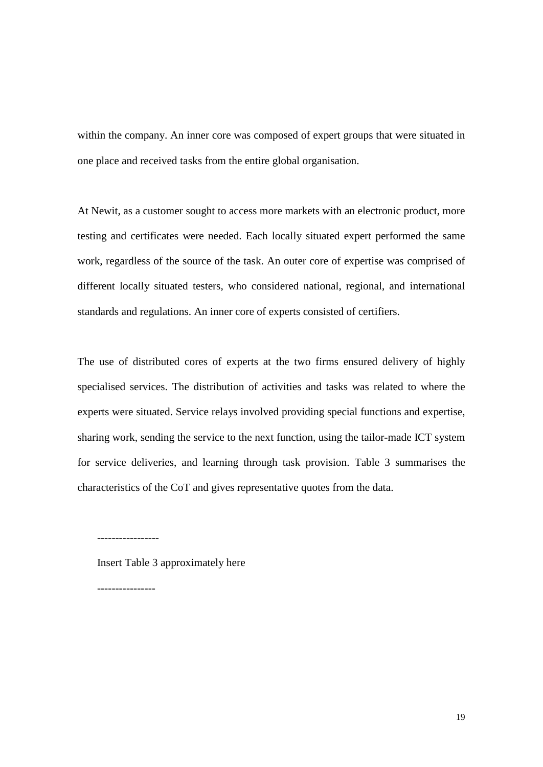within the company. An inner core was composed of expert groups that were situated in one place and received tasks from the entire global organisation.

At Newit, as a customer sought to access more markets with an electronic product, more testing and certificates were needed. Each locally situated expert performed the same work, regardless of the source of the task. An outer core of expertise was comprised of different locally situated testers, who considered national, regional, and international standards and regulations. An inner core of experts consisted of certifiers.

The use of distributed cores of experts at the two firms ensured delivery of highly specialised services. The distribution of activities and tasks was related to where the experts were situated. Service relays involved providing special functions and expertise, sharing work, sending the service to the next function, using the tailor-made ICT system for service deliveries, and learning through task provision. Table 3 summarises the characteristics of the CoT and gives representative quotes from the data.

-----------------

Insert Table 3 approximately here

----------------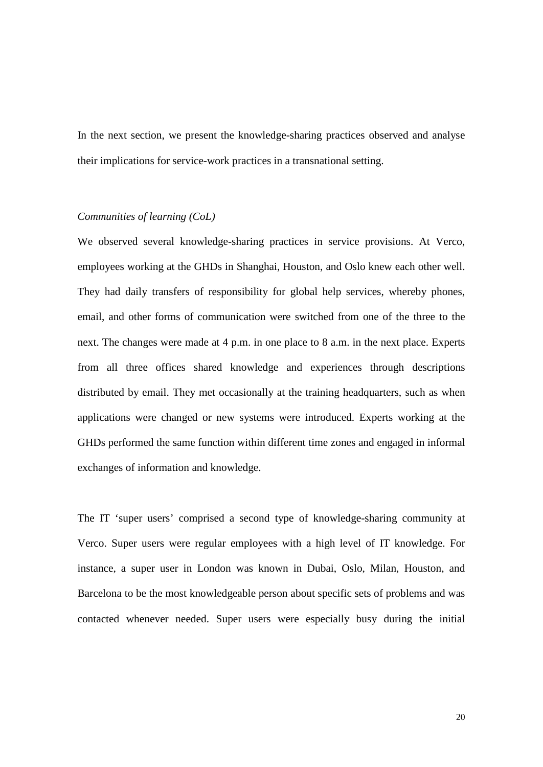In the next section, we present the knowledge-sharing practices observed and analyse their implications for service-work practices in a transnational setting.

#### *Communities of learning (CoL)*

We observed several knowledge-sharing practices in service provisions. At Verco, employees working at the GHDs in Shanghai, Houston, and Oslo knew each other well. They had daily transfers of responsibility for global help services, whereby phones, email, and other forms of communication were switched from one of the three to the next. The changes were made at 4 p.m. in one place to 8 a.m. in the next place. Experts from all three offices shared knowledge and experiences through descriptions distributed by email. They met occasionally at the training headquarters, such as when applications were changed or new systems were introduced. Experts working at the GHDs performed the same function within different time zones and engaged in informal exchanges of information and knowledge.

The IT 'super users' comprised a second type of knowledge-sharing community at Verco. Super users were regular employees with a high level of IT knowledge. For instance, a super user in London was known in Dubai, Oslo, Milan, Houston, and Barcelona to be the most knowledgeable person about specific sets of problems and was contacted whenever needed. Super users were especially busy during the initial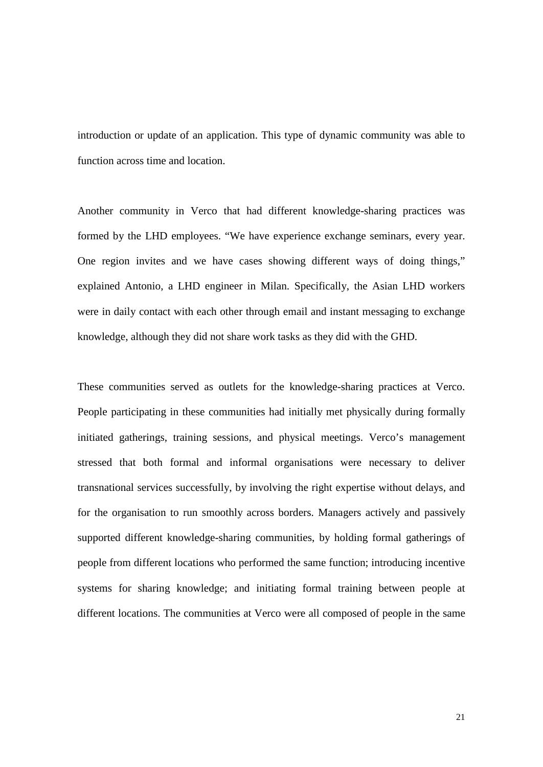introduction or update of an application. This type of dynamic community was able to function across time and location.

Another community in Verco that had different knowledge-sharing practices was formed by the LHD employees. "We have experience exchange seminars, every year. One region invites and we have cases showing different ways of doing things," explained Antonio, a LHD engineer in Milan. Specifically, the Asian LHD workers were in daily contact with each other through email and instant messaging to exchange knowledge, although they did not share work tasks as they did with the GHD.

These communities served as outlets for the knowledge-sharing practices at Verco. People participating in these communities had initially met physically during formally initiated gatherings, training sessions, and physical meetings. Verco's management stressed that both formal and informal organisations were necessary to deliver transnational services successfully, by involving the right expertise without delays, and for the organisation to run smoothly across borders. Managers actively and passively supported different knowledge-sharing communities, by holding formal gatherings of people from different locations who performed the same function; introducing incentive systems for sharing knowledge; and initiating formal training between people at different locations. The communities at Verco were all composed of people in the same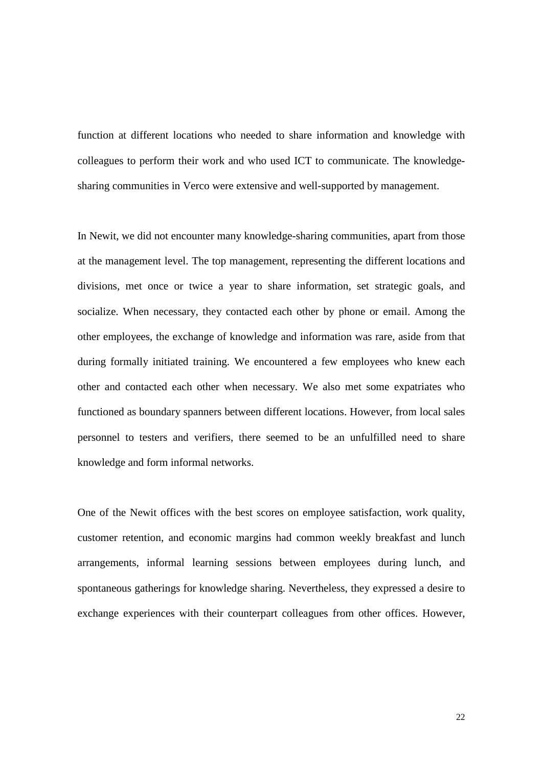function at different locations who needed to share information and knowledge with colleagues to perform their work and who used ICT to communicate. The knowledgesharing communities in Verco were extensive and well-supported by management.

In Newit, we did not encounter many knowledge-sharing communities, apart from those at the management level. The top management, representing the different locations and divisions, met once or twice a year to share information, set strategic goals, and socialize. When necessary, they contacted each other by phone or email. Among the other employees, the exchange of knowledge and information was rare, aside from that during formally initiated training. We encountered a few employees who knew each other and contacted each other when necessary. We also met some expatriates who functioned as boundary spanners between different locations. However, from local sales personnel to testers and verifiers, there seemed to be an unfulfilled need to share knowledge and form informal networks.

One of the Newit offices with the best scores on employee satisfaction, work quality, customer retention, and economic margins had common weekly breakfast and lunch arrangements, informal learning sessions between employees during lunch, and spontaneous gatherings for knowledge sharing. Nevertheless, they expressed a desire to exchange experiences with their counterpart colleagues from other offices. However,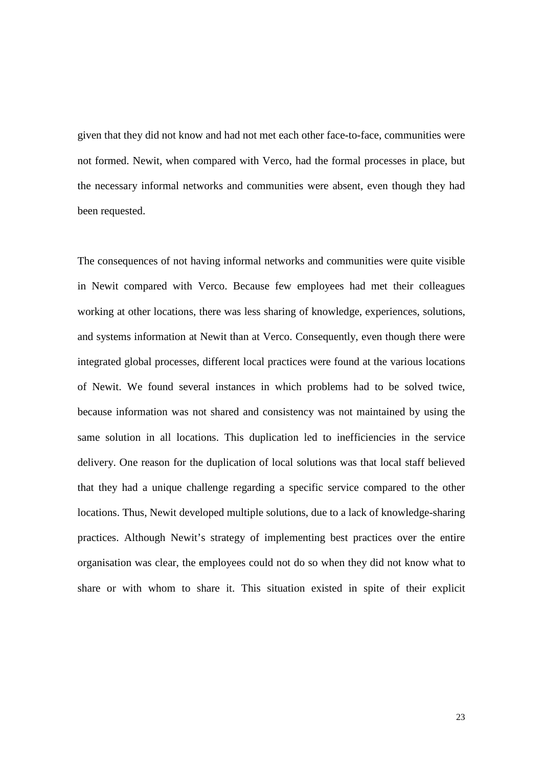given that they did not know and had not met each other face-to-face, communities were not formed. Newit, when compared with Verco, had the formal processes in place, but the necessary informal networks and communities were absent, even though they had been requested.

The consequences of not having informal networks and communities were quite visible in Newit compared with Verco. Because few employees had met their colleagues working at other locations, there was less sharing of knowledge, experiences, solutions, and systems information at Newit than at Verco. Consequently, even though there were integrated global processes, different local practices were found at the various locations of Newit. We found several instances in which problems had to be solved twice, because information was not shared and consistency was not maintained by using the same solution in all locations. This duplication led to inefficiencies in the service delivery. One reason for the duplication of local solutions was that local staff believed that they had a unique challenge regarding a specific service compared to the other locations. Thus, Newit developed multiple solutions, due to a lack of knowledge-sharing practices. Although Newit's strategy of implementing best practices over the entire organisation was clear, the employees could not do so when they did not know what to share or with whom to share it. This situation existed in spite of their explicit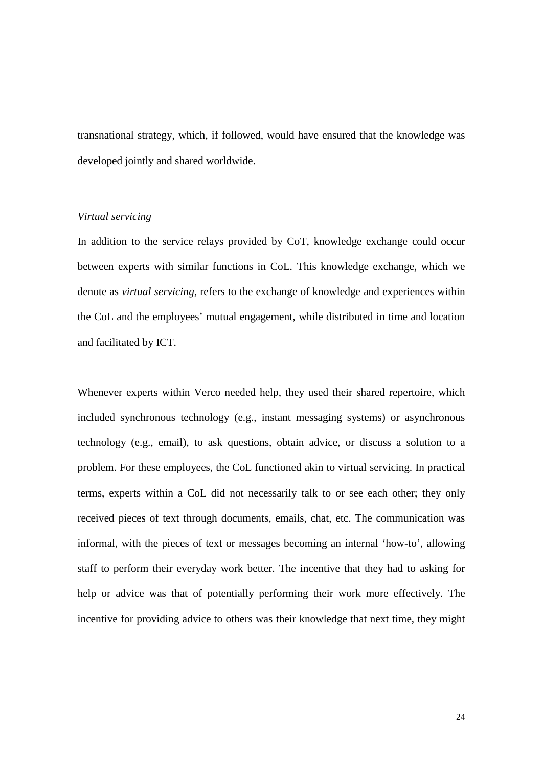transnational strategy, which, if followed, would have ensured that the knowledge was developed jointly and shared worldwide.

#### *Virtual servicing*

In addition to the service relays provided by CoT, knowledge exchange could occur between experts with similar functions in CoL. This knowledge exchange, which we denote as *virtual servicing*, refers to the exchange of knowledge and experiences within the CoL and the employees' mutual engagement, while distributed in time and location and facilitated by ICT.

Whenever experts within Verco needed help, they used their shared repertoire, which included synchronous technology (e.g., instant messaging systems) or asynchronous technology (e.g., email), to ask questions, obtain advice, or discuss a solution to a problem. For these employees, the CoL functioned akin to virtual servicing. In practical terms, experts within a CoL did not necessarily talk to or see each other; they only received pieces of text through documents, emails, chat, etc. The communication was informal, with the pieces of text or messages becoming an internal 'how-to', allowing staff to perform their everyday work better. The incentive that they had to asking for help or advice was that of potentially performing their work more effectively. The incentive for providing advice to others was their knowledge that next time, they might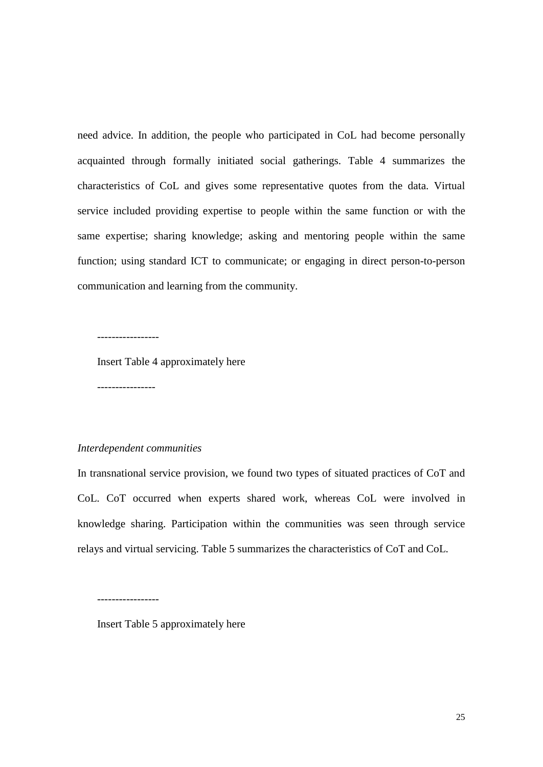need advice. In addition, the people who participated in CoL had become personally acquainted through formally initiated social gatherings. Table 4 summarizes the characteristics of CoL and gives some representative quotes from the data. Virtual service included providing expertise to people within the same function or with the same expertise; sharing knowledge; asking and mentoring people within the same function; using standard ICT to communicate; or engaging in direct person-to-person communication and learning from the community.

----------------- Insert Table 4 approximately here

----------------

#### *Interdependent communities*

-----------------

In transnational service provision, we found two types of situated practices of CoT and CoL. CoT occurred when experts shared work, whereas CoL were involved in knowledge sharing. Participation within the communities was seen through service relays and virtual servicing. Table 5 summarizes the characteristics of CoT and CoL.

Insert Table 5 approximately here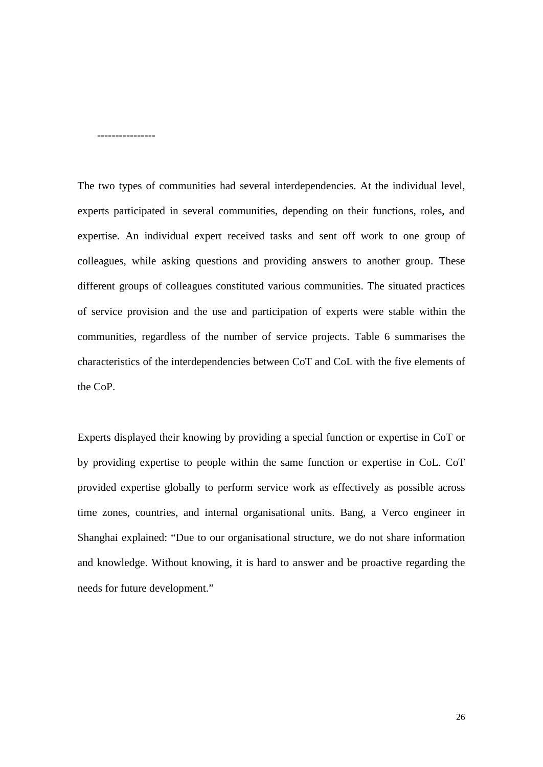The two types of communities had several interdependencies. At the individual level, experts participated in several communities, depending on their functions, roles, and expertise. An individual expert received tasks and sent off work to one group of colleagues, while asking questions and providing answers to another group. These different groups of colleagues constituted various communities. The situated practices of service provision and the use and participation of experts were stable within the communities, regardless of the number of service projects. Table 6 summarises the characteristics of the interdependencies between CoT and CoL with the five elements of the CoP.

----------------

Experts displayed their knowing by providing a special function or expertise in CoT or by providing expertise to people within the same function or expertise in CoL. CoT provided expertise globally to perform service work as effectively as possible across time zones, countries, and internal organisational units. Bang, a Verco engineer in Shanghai explained: "Due to our organisational structure, we do not share information and knowledge. Without knowing, it is hard to answer and be proactive regarding the needs for future development."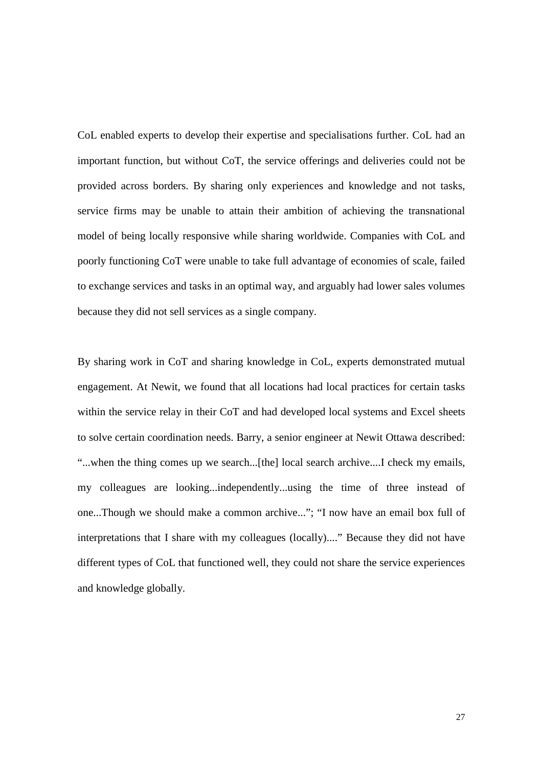CoL enabled experts to develop their expertise and specialisations further. CoL had an important function, but without CoT, the service offerings and deliveries could not be provided across borders. By sharing only experiences and knowledge and not tasks, service firms may be unable to attain their ambition of achieving the transnational model of being locally responsive while sharing worldwide. Companies with CoL and poorly functioning CoT were unable to take full advantage of economies of scale, failed to exchange services and tasks in an optimal way, and arguably had lower sales volumes because they did not sell services as a single company.

By sharing work in CoT and sharing knowledge in CoL, experts demonstrated mutual engagement. At Newit, we found that all locations had local practices for certain tasks within the service relay in their CoT and had developed local systems and Excel sheets to solve certain coordination needs. Barry, a senior engineer at Newit Ottawa described: "...when the thing comes up we search...[the] local search archive....I check my emails, my colleagues are looking...independently...using the time of three instead of one...Though we should make a common archive..."; "I now have an email box full of interpretations that I share with my colleagues (locally)...." Because they did not have different types of CoL that functioned well, they could not share the service experiences and knowledge globally.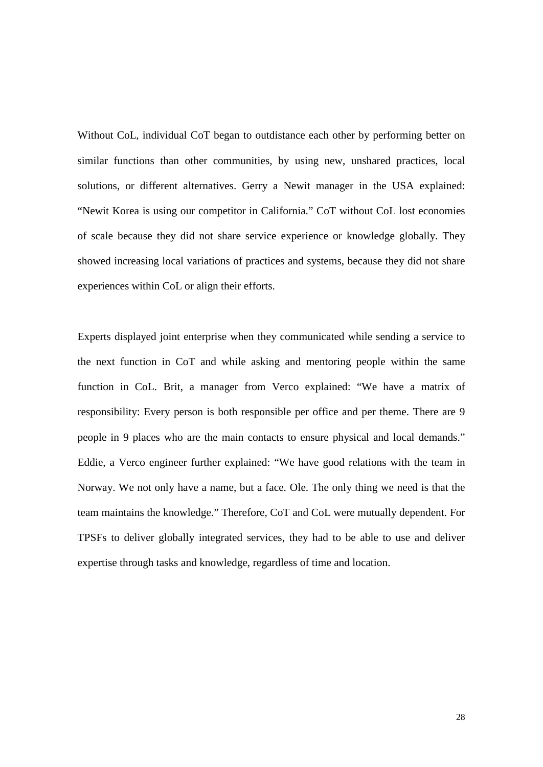Without CoL, individual CoT began to outdistance each other by performing better on similar functions than other communities, by using new, unshared practices, local solutions, or different alternatives. Gerry a Newit manager in the USA explained: "Newit Korea is using our competitor in California." CoT without CoL lost economies of scale because they did not share service experience or knowledge globally. They showed increasing local variations of practices and systems, because they did not share experiences within CoL or align their efforts.

Experts displayed joint enterprise when they communicated while sending a service to the next function in CoT and while asking and mentoring people within the same function in CoL. Brit, a manager from Verco explained: "We have a matrix of responsibility: Every person is both responsible per office and per theme. There are 9 people in 9 places who are the main contacts to ensure physical and local demands." Eddie, a Verco engineer further explained: "We have good relations with the team in Norway. We not only have a name, but a face. Ole. The only thing we need is that the team maintains the knowledge." Therefore, CoT and CoL were mutually dependent. For TPSFs to deliver globally integrated services, they had to be able to use and deliver expertise through tasks and knowledge, regardless of time and location.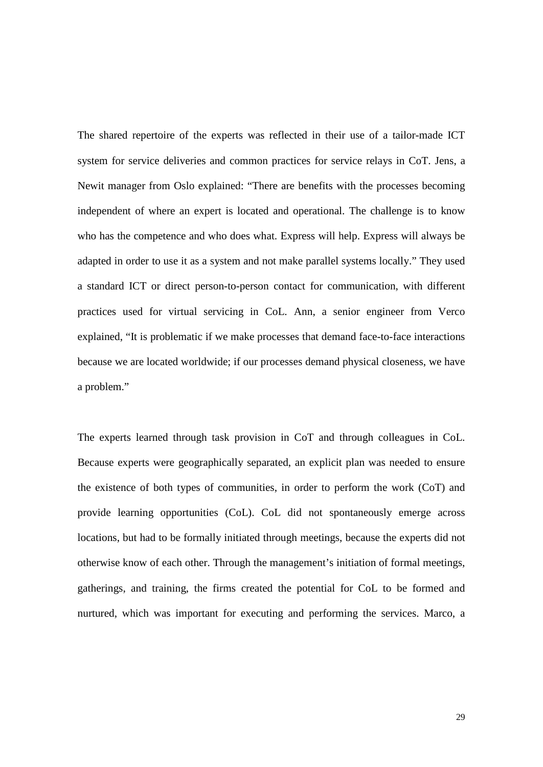The shared repertoire of the experts was reflected in their use of a tailor-made ICT system for service deliveries and common practices for service relays in CoT. Jens, a Newit manager from Oslo explained: "There are benefits with the processes becoming independent of where an expert is located and operational. The challenge is to know who has the competence and who does what. Express will help. Express will always be adapted in order to use it as a system and not make parallel systems locally." They used a standard ICT or direct person-to-person contact for communication, with different practices used for virtual servicing in CoL. Ann, a senior engineer from Verco explained, "It is problematic if we make processes that demand face-to-face interactions because we are located worldwide; if our processes demand physical closeness, we have a problem."

The experts learned through task provision in CoT and through colleagues in CoL. Because experts were geographically separated, an explicit plan was needed to ensure the existence of both types of communities, in order to perform the work (CoT) and provide learning opportunities (CoL). CoL did not spontaneously emerge across locations, but had to be formally initiated through meetings, because the experts did not otherwise know of each other. Through the management's initiation of formal meetings, gatherings, and training, the firms created the potential for CoL to be formed and nurtured, which was important for executing and performing the services. Marco, a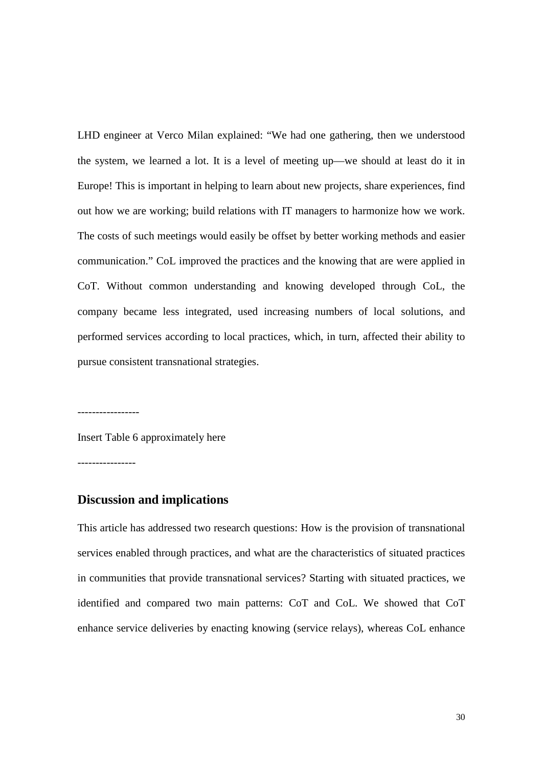LHD engineer at Verco Milan explained: "We had one gathering, then we understood the system, we learned a lot. It is a level of meeting up—we should at least do it in Europe! This is important in helping to learn about new projects, share experiences, find out how we are working; build relations with IT managers to harmonize how we work. The costs of such meetings would easily be offset by better working methods and easier communication." CoL improved the practices and the knowing that are were applied in CoT. Without common understanding and knowing developed through CoL, the company became less integrated, used increasing numbers of local solutions, and performed services according to local practices, which, in turn, affected their ability to pursue consistent transnational strategies.

-----------------

Insert Table 6 approximately here

----------------

## **Discussion and implications**

This article has addressed two research questions: How is the provision of transnational services enabled through practices, and what are the characteristics of situated practices in communities that provide transnational services? Starting with situated practices, we identified and compared two main patterns: CoT and CoL. We showed that CoT enhance service deliveries by enacting knowing (service relays), whereas CoL enhance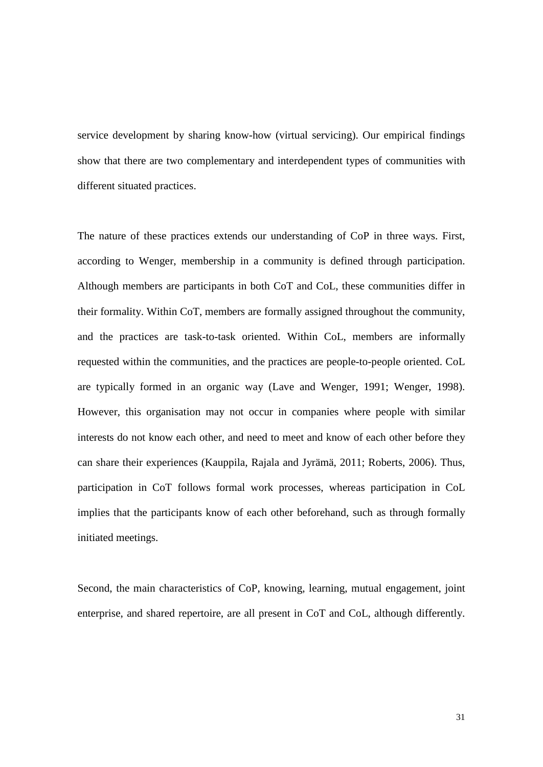service development by sharing know-how (virtual servicing). Our empirical findings show that there are two complementary and interdependent types of communities with different situated practices.

The nature of these practices extends our understanding of CoP in three ways. First, according to Wenger, membership in a community is defined through participation. Although members are participants in both CoT and CoL, these communities differ in their formality. Within CoT, members are formally assigned throughout the community, and the practices are task-to-task oriented. Within CoL, members are informally requested within the communities, and the practices are people-to-people oriented. CoL are typically formed in an organic way [\(Lave and Wenger, 1991;](#page-40-0) [Wenger, 1998\)](#page-42-0). However, this organisation may not occur in companies where people with similar interests do not know each other, and need to meet and know of each other before they can share their experiences [\(Kauppila, Rajala and Jyrämä, 2011;](#page-39-7) [Roberts, 2006\)](#page-41-1). Thus, participation in CoT follows formal work processes, whereas participation in CoL implies that the participants know of each other beforehand, such as through formally initiated meetings.

Second, the main characteristics of CoP, knowing, learning, mutual engagement, joint enterprise, and shared repertoire, are all present in CoT and CoL, although differently.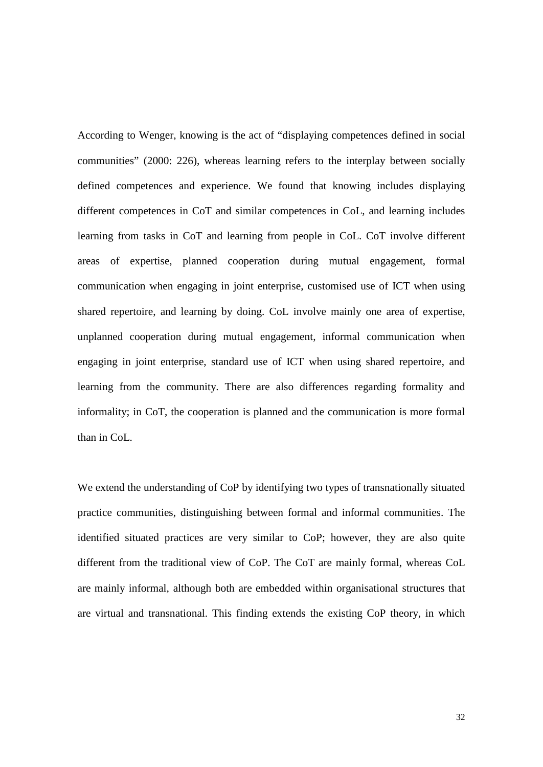According to Wenger, knowing is the act of "displaying competences defined in social communities" [\(2000: 226\)](#page-42-1), whereas learning refers to the interplay between socially defined competences and experience. We found that knowing includes displaying different competences in CoT and similar competences in CoL, and learning includes learning from tasks in CoT and learning from people in CoL. CoT involve different areas of expertise, planned cooperation during mutual engagement, formal communication when engaging in joint enterprise, customised use of ICT when using shared repertoire, and learning by doing. CoL involve mainly one area of expertise, unplanned cooperation during mutual engagement, informal communication when engaging in joint enterprise, standard use of ICT when using shared repertoire, and learning from the community. There are also differences regarding formality and informality; in CoT, the cooperation is planned and the communication is more formal than in CoL.

We extend the understanding of CoP by identifying two types of transnationally situated practice communities, distinguishing between formal and informal communities. The identified situated practices are very similar to CoP; however, they are also quite different from the traditional view of CoP. The CoT are mainly formal, whereas CoL are mainly informal, although both are embedded within organisational structures that are virtual and transnational. This finding extends the existing CoP theory, in which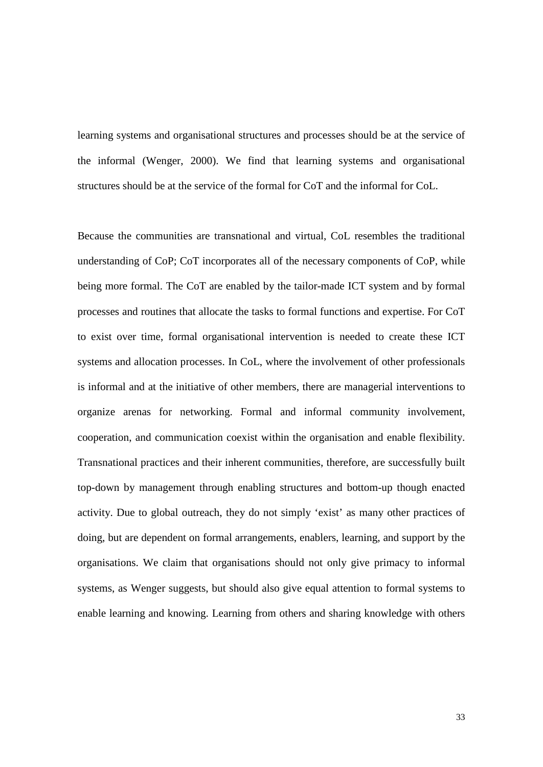learning systems and organisational structures and processes should be at the service of the informal [\(Wenger, 2000\)](#page-42-1). We find that learning systems and organisational structures should be at the service of the formal for CoT and the informal for CoL.

Because the communities are transnational and virtual, CoL resembles the traditional understanding of CoP; CoT incorporates all of the necessary components of CoP, while being more formal. The CoT are enabled by the tailor-made ICT system and by formal processes and routines that allocate the tasks to formal functions and expertise. For CoT to exist over time, formal organisational intervention is needed to create these ICT systems and allocation processes. In CoL, where the involvement of other professionals is informal and at the initiative of other members, there are managerial interventions to organize arenas for networking. Formal and informal community involvement, cooperation, and communication coexist within the organisation and enable flexibility. Transnational practices and their inherent communities, therefore, are successfully built top-down by management through enabling structures and bottom-up though enacted activity. Due to global outreach, they do not simply 'exist' as many other practices of doing, but are dependent on formal arrangements, enablers, learning, and support by the organisations. We claim that organisations should not only give primacy to informal systems, as Wenger suggests, but should also give equal attention to formal systems to enable learning and knowing. Learning from others and sharing knowledge with others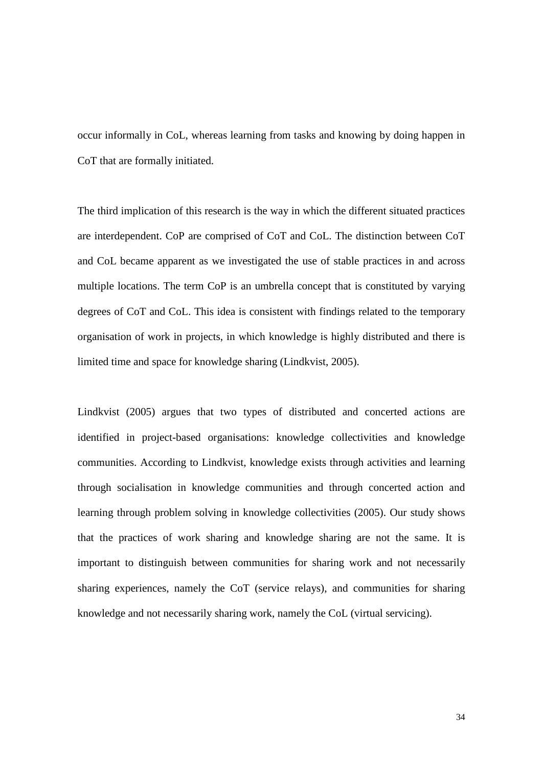occur informally in CoL, whereas learning from tasks and knowing by doing happen in CoT that are formally initiated.

The third implication of this research is the way in which the different situated practices are interdependent. CoP are comprised of CoT and CoL. The distinction between CoT and CoL became apparent as we investigated the use of stable practices in and across multiple locations. The term CoP is an umbrella concept that is constituted by varying degrees of CoT and CoL. This idea is consistent with findings related to the temporary organisation of work in projects, in which knowledge is highly distributed and there is limited time and space for knowledge sharing [\(Lindkvist, 2005\)](#page-40-6).

Lindkvist (2005) argues that two types of distributed and concerted actions are identified in project-based organisations: knowledge collectivities and knowledge communities. According to Lindkvist, knowledge exists through activities and learning through socialisation in knowledge communities and through concerted action and learning through problem solving in knowledge collectivities (2005). Our study shows that the practices of work sharing and knowledge sharing are not the same. It is important to distinguish between communities for sharing work and not necessarily sharing experiences, namely the CoT (service relays), and communities for sharing knowledge and not necessarily sharing work, namely the CoL (virtual servicing).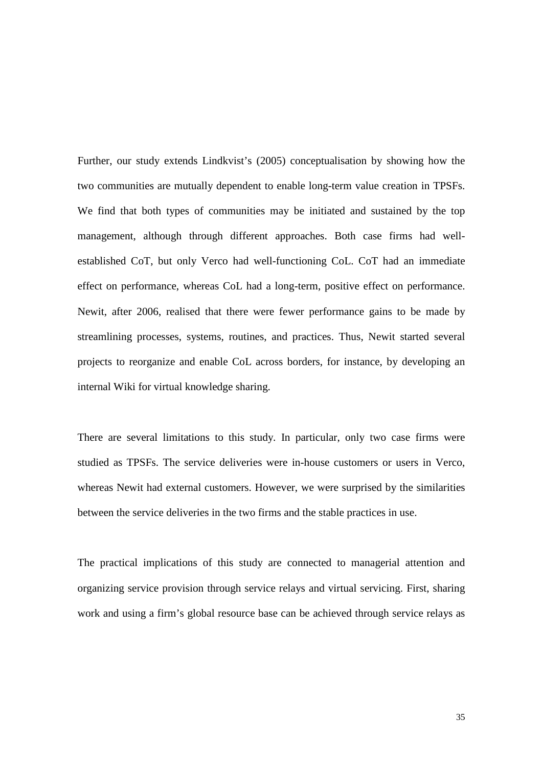Further, our study extends Lindkvist's (2005) conceptualisation by showing how the two communities are mutually dependent to enable long-term value creation in TPSFs. We find that both types of communities may be initiated and sustained by the top management, although through different approaches. Both case firms had wellestablished CoT, but only Verco had well-functioning CoL. CoT had an immediate effect on performance, whereas CoL had a long-term, positive effect on performance. Newit, after 2006, realised that there were fewer performance gains to be made by streamlining processes, systems, routines, and practices. Thus, Newit started several projects to reorganize and enable CoL across borders, for instance, by developing an internal Wiki for virtual knowledge sharing.

There are several limitations to this study. In particular, only two case firms were studied as TPSFs. The service deliveries were in-house customers or users in Verco, whereas Newit had external customers. However, we were surprised by the similarities between the service deliveries in the two firms and the stable practices in use.

The practical implications of this study are connected to managerial attention and organizing service provision through service relays and virtual servicing. First, sharing work and using a firm's global resource base can be achieved through service relays as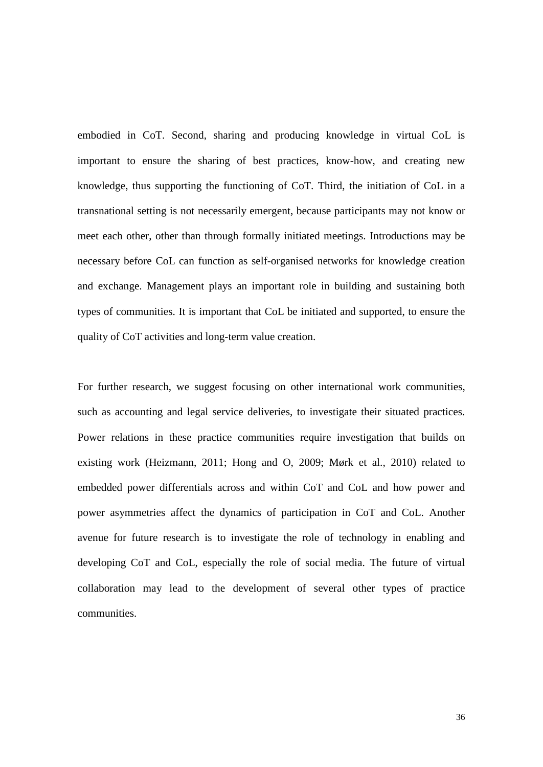embodied in CoT. Second, sharing and producing knowledge in virtual CoL is important to ensure the sharing of best practices, know-how, and creating new knowledge, thus supporting the functioning of CoT. Third, the initiation of CoL in a transnational setting is not necessarily emergent, because participants may not know or meet each other, other than through formally initiated meetings. Introductions may be necessary before CoL can function as self-organised networks for knowledge creation and exchange. Management plays an important role in building and sustaining both types of communities. It is important that CoL be initiated and supported, to ensure the quality of CoT activities and long-term value creation.

For further research, we suggest focusing on other international work communities, such as accounting and legal service deliveries, to investigate their situated practices. Power relations in these practice communities require investigation that builds on existing work [\(Heizmann, 2011;](#page-39-5) [Hong and O, 2009;](#page-39-8) [Mørk et al., 2010\)](#page-40-5) related to embedded power differentials across and within CoT and CoL and how power and power asymmetries affect the dynamics of participation in CoT and CoL. Another avenue for future research is to investigate the role of technology in enabling and developing CoT and CoL, especially the role of social media. The future of virtual collaboration may lead to the development of several other types of practice communities.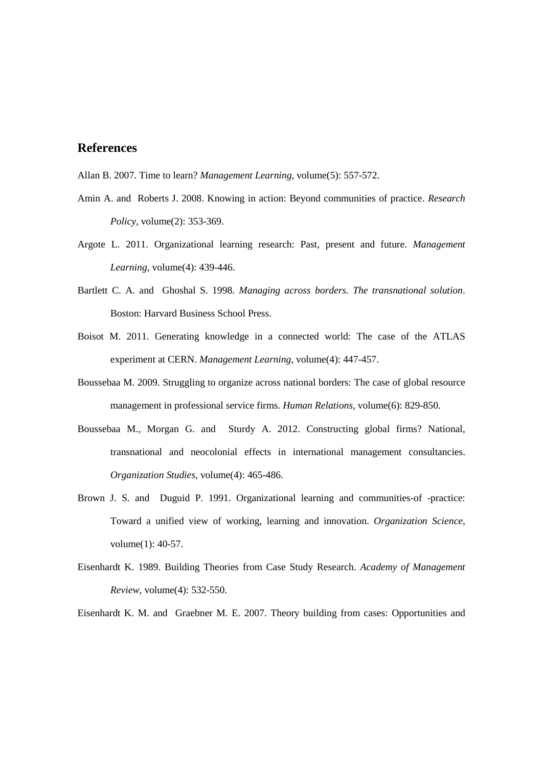## **References**

<span id="page-37-2"></span>Allan B. 2007. Time to learn? *Management Learning*, volume(5): 557-572.

- <span id="page-37-0"></span>Amin A. and Roberts J. 2008. Knowing in action: Beyond communities of practice. *Research Policy*, volume(2): 353-369.
- <span id="page-37-1"></span>Argote L. 2011. Organizational learning research: Past, present and future. *Management Learning*, volume(4): 439-446.
- <span id="page-37-6"></span>Bartlett C. A. and Ghoshal S. 1998. *Managing across borders. The transnational solution*. Boston: Harvard Business School Press.
- <span id="page-37-3"></span>Boisot M. 2011. Generating knowledge in a connected world: The case of the ATLAS experiment at CERN. *Management Learning*, volume(4): 447-457.
- <span id="page-37-4"></span>Boussebaa M. 2009. Struggling to organize across national borders: The case of global resource management in professional service firms. *Human Relations*, volume(6): 829-850.
- <span id="page-37-5"></span>Boussebaa M., Morgan G. and Sturdy A. 2012. Constructing global firms? National, transnational and neocolonial effects in international management consultancies. *Organization Studies*, volume(4): 465-486.
- <span id="page-37-7"></span>Brown J. S. and Duguid P. 1991. Organizational learning and communities-of -practice: Toward a unified view of working, learning and innovation. *Organization Science*, volume(1): 40-57.
- <span id="page-37-8"></span>Eisenhardt K. 1989. Building Theories from Case Study Research. *Academy of Management Review*, volume(4): 532-550.

<span id="page-37-9"></span>Eisenhardt K. M. and Graebner M. E. 2007. Theory building from cases: Opportunities and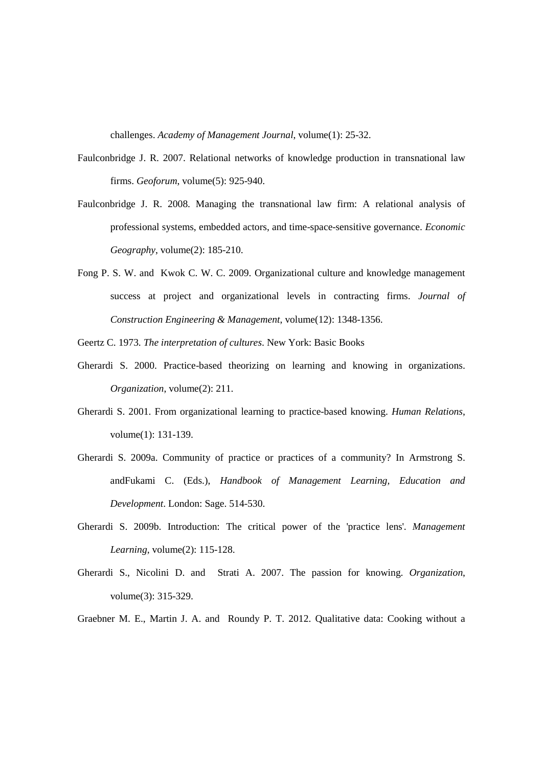challenges. *Academy of Management Journal*, volume(1): 25-32.

- <span id="page-38-0"></span>Faulconbridge J. R. 2007. Relational networks of knowledge production in transnational law firms. *Geoforum*, volume(5): 925-940.
- <span id="page-38-1"></span>Faulconbridge J. R. 2008. Managing the transnational law firm: A relational analysis of professional systems, embedded actors, and time-space-sensitive governance. *Economic Geography*, volume(2): 185-210.
- <span id="page-38-2"></span>Fong P. S. W. and Kwok C. W. C. 2009. Organizational culture and knowledge management success at project and organizational levels in contracting firms. *Journal of Construction Engineering & Management*, volume(12): 1348-1356.
- <span id="page-38-9"></span>Geertz C. 1973. *The interpretation of cultures*. New York: Basic Books
- <span id="page-38-3"></span>Gherardi S. 2000. Practice-based theorizing on learning and knowing in organizations. *Organization*, volume(2): 211.
- <span id="page-38-4"></span>Gherardi S. 2001. From organizational learning to practice-based knowing. *Human Relations*, volume(1): 131-139.
- <span id="page-38-7"></span>Gherardi S. 2009a. Community of practice or practices of a community? In Armstrong S. andFukami C. (Eds.), *Handbook of Management Learning, Education and Development*. London: Sage. 514-530.
- <span id="page-38-5"></span>Gherardi S. 2009b. Introduction: The critical power of the 'practice lens'. *Management Learning*, volume(2): 115-128.
- <span id="page-38-6"></span>Gherardi S., Nicolini D. and Strati A. 2007. The passion for knowing. *Organization*, volume(3): 315-329.
- <span id="page-38-8"></span>Graebner M. E., Martin J. A. and Roundy P. T. 2012. Qualitative data: Cooking without a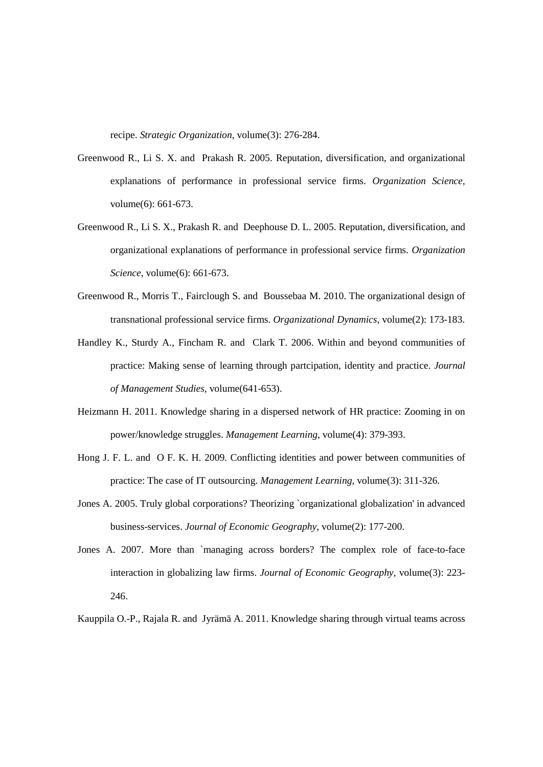recipe. *Strategic Organization*, volume(3): 276-284.

- <span id="page-39-6"></span>Greenwood R., Li S. X. and Prakash R. 2005. Reputation, diversification, and organizational explanations of performance in professional service firms. *Organization Science*, volume(6): 661-673.
- <span id="page-39-3"></span>Greenwood R., Li S. X., Prakash R. and Deephouse D. L. 2005. Reputation, diversification, and organizational explanations of performance in professional service firms. *Organization Science*, volume(6): 661-673.
- <span id="page-39-0"></span>Greenwood R., Morris T., Fairclough S. and Boussebaa M. 2010. The organizational design of transnational professional service firms. *Organizational Dynamics*, volume(2): 173-183.
- <span id="page-39-2"></span>Handley K., Sturdy A., Fincham R. and Clark T. 2006. Within and beyond communities of practice: Making sense of learning through partcipation, identity and practice. *Journal of Management Studies*, volume(641-653).
- <span id="page-39-5"></span>Heizmann H. 2011. Knowledge sharing in a dispersed network of HR practice: Zooming in on power/knowledge struggles. *Management Learning*, volume(4): 379-393.
- <span id="page-39-8"></span>Hong J. F. L. and O F. K. H. 2009. Conflicting identities and power between communities of practice: The case of IT outsourcing. *Management Learning*, volume(3): 311-326.
- <span id="page-39-1"></span>Jones A. 2005. Truly global corporations? Theorizing `organizational globalization' in advanced business-services. *Journal of Economic Geography*, volume(2): 177-200.
- <span id="page-39-4"></span>Jones A. 2007. More than `managing across borders? The complex role of face-to-face interaction in globalizing law firms. *Journal of Economic Geography*, volume(3): 223- 246.
- <span id="page-39-7"></span>Kauppila O.-P., Rajala R. and Jyrämä A. 2011. Knowledge sharing through virtual teams across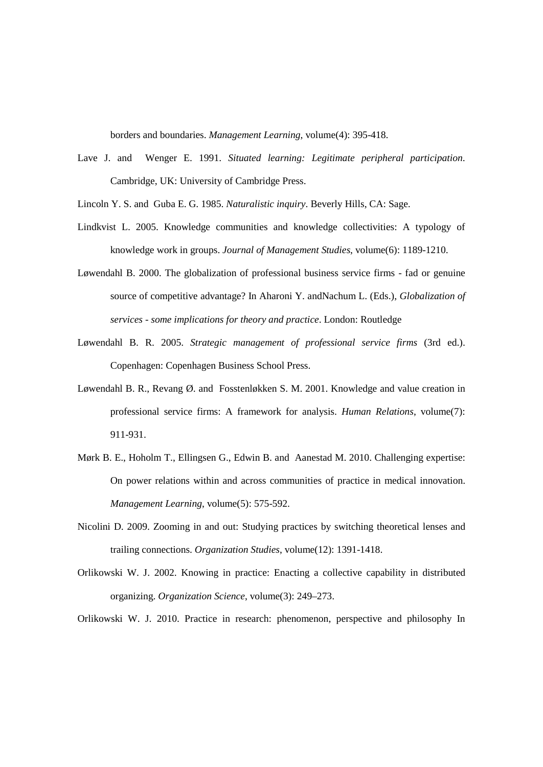borders and boundaries. *Management Learning*, volume(4): 395-418.

- <span id="page-40-0"></span>Lave J. and Wenger E. 1991. *Situated learning: Legitimate peripheral participation*. Cambridge, UK: University of Cambridge Press.
- <span id="page-40-9"></span>Lincoln Y. S. and Guba E. G. 1985. *Naturalistic inquiry*. Beverly Hills, CA: Sage.
- <span id="page-40-6"></span>Lindkvist L. 2005. Knowledge communities and knowledge collectivities: A typology of knowledge work in groups. *Journal of Management Studies*, volume(6): 1189-1210.
- <span id="page-40-4"></span>Løwendahl B. 2000. The globalization of professional business service firms - fad or genuine source of competitive advantage? In Aharoni Y. andNachum L. (Eds.), *Globalization of services - some implications for theory and practice*. London: Routledge
- <span id="page-40-1"></span>Løwendahl B. R. 2005. *Strategic management of professional service firms* (3rd ed.). Copenhagen: Copenhagen Business School Press.
- <span id="page-40-2"></span>Løwendahl B. R., Revang Ø. and Fosstenløkken S. M. 2001. Knowledge and value creation in professional service firms: A framework for analysis. *Human Relations*, volume(7): 911-931.
- <span id="page-40-5"></span>Mørk B. E., Hoholm T., Ellingsen G., Edwin B. and Aanestad M. 2010. Challenging expertise: On power relations within and across communities of practice in medical innovation. *Management Learning*, volume(5): 575-592.
- <span id="page-40-8"></span>Nicolini D. 2009. Zooming in and out: Studying practices by switching theoretical lenses and trailing connections. *Organization Studies*, volume(12): 1391-1418.
- <span id="page-40-3"></span>Orlikowski W. J. 2002. Knowing in practice: Enacting a collective capability in distributed organizing. *Organization Science*, volume(3): 249–273.

<span id="page-40-7"></span>Orlikowski W. J. 2010. Practice in research: phenomenon, perspective and philosophy In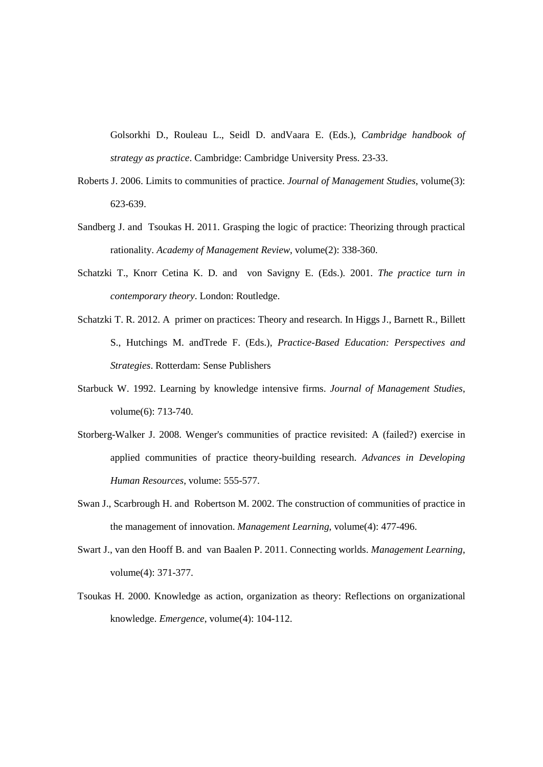Golsorkhi D., Rouleau L., Seidl D. andVaara E. (Eds.), *Cambridge handbook of strategy as practice*. Cambridge: Cambridge University Press. 23-33.

- <span id="page-41-1"></span>Roberts J. 2006. Limits to communities of practice. *Journal of Management Studies*, volume(3): 623-639.
- <span id="page-41-4"></span>Sandberg J. and Tsoukas H. 2011. Grasping the logic of practice: Theorizing through practical rationality. *Academy of Management Review*, volume(2): 338-360.
- <span id="page-41-3"></span>Schatzki T., Knorr Cetina K. D. and von Savigny E. (Eds.). 2001. *The practice turn in contemporary theory*. London: Routledge.
- <span id="page-41-6"></span>Schatzki T. R. 2012. A primer on practices: Theory and research. In Higgs J., Barnett R., Billett S., Hutchings M. andTrede F. (Eds.), *Practice-Based Education: Perspectives and Strategies*. Rotterdam: Sense Publishers
- <span id="page-41-8"></span>Starbuck W. 1992. Learning by knowledge intensive firms. *Journal of Management Studies*, volume(6): 713-740.
- <span id="page-41-0"></span>Storberg-Walker J. 2008. Wenger's communities of practice revisited: A (failed?) exercise in applied communities of practice theory-building research. *Advances in Developing Human Resources*, volume: 555-577.
- <span id="page-41-7"></span>Swan J., Scarbrough H. and Robertson M. 2002. The construction of communities of practice in the management of innovation. *Management Learning*, volume(4): 477-496.
- <span id="page-41-2"></span>Swart J., van den Hooff B. and van Baalen P. 2011. Connecting worlds. *Management Learning*, volume(4): 371-377.
- <span id="page-41-5"></span>Tsoukas H. 2000. Knowledge as action, organization as theory: Reflections on organizational knowledge. *Emergence*, volume(4): 104-112.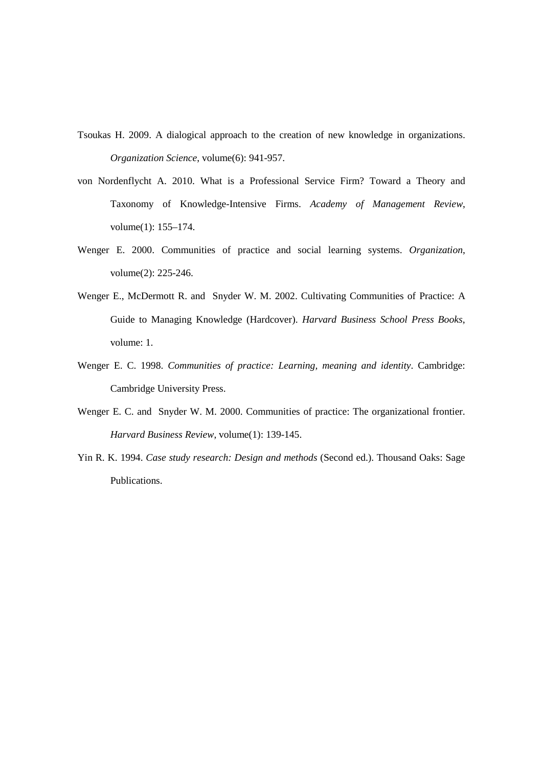- <span id="page-42-2"></span>Tsoukas H. 2009. A dialogical approach to the creation of new knowledge in organizations. *Organization Science*, volume(6): 941-957.
- <span id="page-42-6"></span>von Nordenflycht A. 2010. What is a Professional Service Firm? Toward a Theory and Taxonomy of Knowledge-Intensive Firms. *Academy of Management Review*, volume(1): 155–174.
- <span id="page-42-1"></span>Wenger E. 2000. Communities of practice and social learning systems. *Organization*, volume(2): 225-246.
- <span id="page-42-3"></span>Wenger E., McDermott R. and Snyder W. M. 2002. Cultivating Communities of Practice: A Guide to Managing Knowledge (Hardcover). *Harvard Business School Press Books*, volume: 1.
- <span id="page-42-0"></span>Wenger E. C. 1998. *Communities of practice: Learning, meaning and identity*. Cambridge: Cambridge University Press.
- <span id="page-42-4"></span>Wenger E. C. and Snyder W. M. 2000. Communities of practice: The organizational frontier. *Harvard Business Review*, volume(1): 139-145.
- <span id="page-42-5"></span>Yin R. K. 1994. *Case study research: Design and methods* (Second ed.). Thousand Oaks: Sage Publications.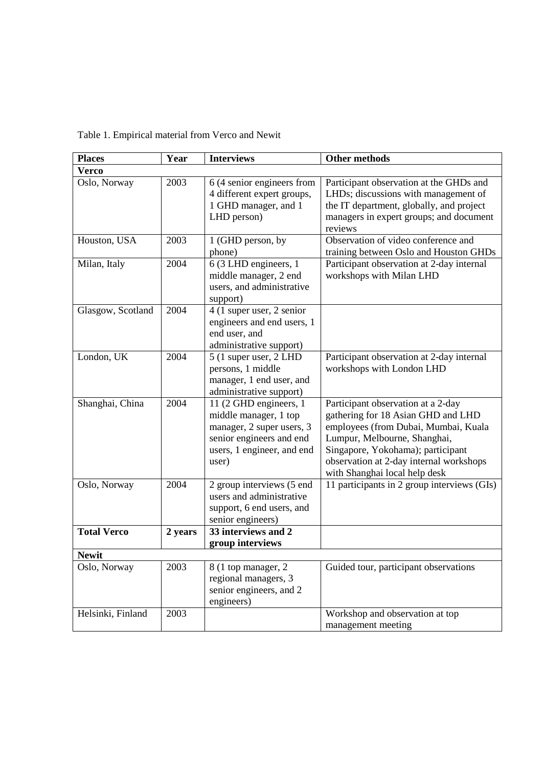|  |  | Table 1. Empirical material from Verco and Newit |  |
|--|--|--------------------------------------------------|--|
|  |  |                                                  |  |

| <b>Places</b>      | Year    | <b>Interviews</b>                                                                                                                               | <b>Other methods</b>                                                                                                                                                                                                                                              |  |
|--------------------|---------|-------------------------------------------------------------------------------------------------------------------------------------------------|-------------------------------------------------------------------------------------------------------------------------------------------------------------------------------------------------------------------------------------------------------------------|--|
| <b>Verco</b>       |         |                                                                                                                                                 |                                                                                                                                                                                                                                                                   |  |
| Oslo, Norway       | 2003    | 6 (4 senior engineers from<br>4 different expert groups,<br>1 GHD manager, and 1<br>LHD person)                                                 | Participant observation at the GHDs and<br>LHDs; discussions with management of<br>the IT department, globally, and project<br>managers in expert groups; and document<br>reviews                                                                                 |  |
| Houston, USA       | 2003    | 1 (GHD person, by<br>phone)                                                                                                                     | Observation of video conference and<br>training between Oslo and Houston GHDs                                                                                                                                                                                     |  |
| Milan, Italy       | 2004    | 6 (3 LHD engineers, 1<br>middle manager, 2 end<br>users, and administrative<br>support)                                                         | Participant observation at 2-day internal<br>workshops with Milan LHD                                                                                                                                                                                             |  |
| Glasgow, Scotland  | 2004    | 4 (1 super user, 2 senior<br>engineers and end users, 1<br>end user, and<br>administrative support)                                             |                                                                                                                                                                                                                                                                   |  |
| London, UK         | 2004    | 5 (1 super user, 2 LHD<br>persons, 1 middle<br>manager, 1 end user, and<br>administrative support)                                              | Participant observation at 2-day internal<br>workshops with London LHD                                                                                                                                                                                            |  |
| Shanghai, China    | 2004    | 11 (2 GHD engineers, 1<br>middle manager, 1 top<br>manager, 2 super users, 3<br>senior engineers and end<br>users, 1 engineer, and end<br>user) | Participant observation at a 2-day<br>gathering for 18 Asian GHD and LHD<br>employees (from Dubai, Mumbai, Kuala<br>Lumpur, Melbourne, Shanghai,<br>Singapore, Yokohama); participant<br>observation at 2-day internal workshops<br>with Shanghai local help desk |  |
| Oslo, Norway       | 2004    | 2 group interviews (5 end<br>users and administrative<br>support, 6 end users, and<br>senior engineers)                                         | 11 participants in 2 group interviews (GIs)                                                                                                                                                                                                                       |  |
| <b>Total Verco</b> | 2 years | 33 interviews and 2<br>group interviews                                                                                                         |                                                                                                                                                                                                                                                                   |  |
| <b>Newit</b>       |         |                                                                                                                                                 |                                                                                                                                                                                                                                                                   |  |
| Oslo, Norway       | 2003    | 8 (1 top manager, 2<br>regional managers, 3<br>senior engineers, and 2<br>engineers)                                                            | Guided tour, participant observations                                                                                                                                                                                                                             |  |
| Helsinki, Finland  | 2003    |                                                                                                                                                 | Workshop and observation at top<br>management meeting                                                                                                                                                                                                             |  |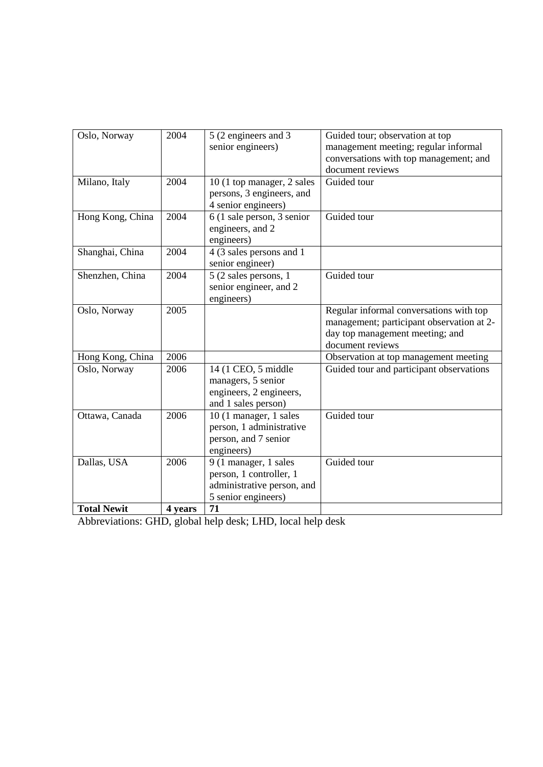| Oslo, Norway       | 2004    | 5 (2 engineers and 3<br>senior engineers)               | Guided tour; observation at top<br>management meeting; regular informal<br>conversations with top management; and |
|--------------------|---------|---------------------------------------------------------|-------------------------------------------------------------------------------------------------------------------|
|                    |         |                                                         | document reviews                                                                                                  |
| Milano, Italy      | 2004    | 10 (1 top manager, 2 sales<br>persons, 3 engineers, and | Guided tour                                                                                                       |
|                    |         | 4 senior engineers)                                     |                                                                                                                   |
| Hong Kong, China   | 2004    | 6 (1 sale person, 3 senior                              | Guided tour                                                                                                       |
|                    |         | engineers, and 2                                        |                                                                                                                   |
|                    |         | engineers)                                              |                                                                                                                   |
| Shanghai, China    | 2004    | 4 (3 sales persons and 1                                |                                                                                                                   |
|                    |         | senior engineer)                                        |                                                                                                                   |
| Shenzhen, China    | 2004    | 5 (2 sales persons, 1                                   | Guided tour                                                                                                       |
|                    |         | senior engineer, and 2                                  |                                                                                                                   |
|                    |         | engineers)                                              |                                                                                                                   |
| Oslo, Norway       | 2005    |                                                         | Regular informal conversations with top                                                                           |
|                    |         |                                                         | management; participant observation at 2-                                                                         |
|                    |         |                                                         | day top management meeting; and                                                                                   |
|                    |         |                                                         | document reviews                                                                                                  |
| Hong Kong, China   | 2006    |                                                         | Observation at top management meeting                                                                             |
| Oslo, Norway       | 2006    | 14 (1 CEO, 5 middle                                     | Guided tour and participant observations                                                                          |
|                    |         | managers, 5 senior                                      |                                                                                                                   |
|                    |         | engineers, 2 engineers,                                 |                                                                                                                   |
|                    |         | and 1 sales person)                                     |                                                                                                                   |
| Ottawa, Canada     | 2006    | 10 (1 manager, 1 sales                                  | Guided tour                                                                                                       |
|                    |         | person, 1 administrative                                |                                                                                                                   |
|                    |         | person, and 7 senior                                    |                                                                                                                   |
|                    |         | engineers)                                              |                                                                                                                   |
| Dallas, USA        | 2006    | 9 (1 manager, 1 sales                                   | Guided tour                                                                                                       |
|                    |         | person, 1 controller, 1                                 |                                                                                                                   |
|                    |         | administrative person, and                              |                                                                                                                   |
|                    |         | 5 senior engineers)                                     |                                                                                                                   |
| <b>Total Newit</b> | 4 years | 71                                                      |                                                                                                                   |

Abbreviations: GHD, global help desk; LHD, local help desk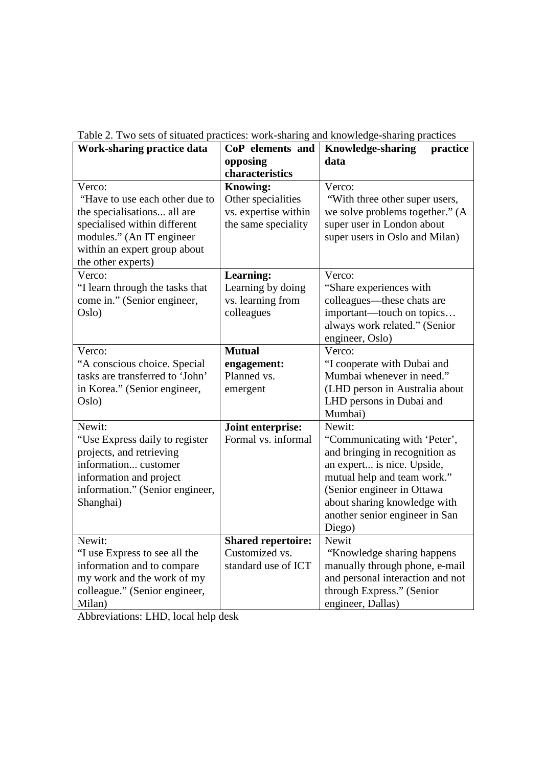| Table 2. Two sets of situated practices. Work-sharing and knowledge-sharing practices<br>Work-sharing practice data | CoP elements and          | <b>Knowledge-sharing</b><br>practice |
|---------------------------------------------------------------------------------------------------------------------|---------------------------|--------------------------------------|
|                                                                                                                     | opposing                  | data                                 |
|                                                                                                                     | characteristics           |                                      |
|                                                                                                                     |                           |                                      |
| Verco:                                                                                                              | <b>Knowing:</b>           | Verco:                               |
| "Have to use each other due to                                                                                      | Other specialities        | "With three other super users,       |
| the specialisations all are                                                                                         | vs. expertise within      | we solve problems together." (A      |
| specialised within different                                                                                        | the same speciality       | super user in London about           |
| modules." (An IT engineer                                                                                           |                           | super users in Oslo and Milan)       |
| within an expert group about                                                                                        |                           |                                      |
| the other experts)                                                                                                  |                           |                                      |
| Verco:                                                                                                              | Learning:                 | Verco:                               |
| "I learn through the tasks that                                                                                     | Learning by doing         | "Share experiences with              |
| come in." (Senior engineer,                                                                                         | vs. learning from         | colleagues—these chats are           |
| Oslo)                                                                                                               | colleagues                | important—touch on topics            |
|                                                                                                                     |                           | always work related." (Senior        |
|                                                                                                                     |                           | engineer, Oslo)                      |
| Verco:                                                                                                              | <b>Mutual</b>             | Verco:                               |
| "A conscious choice. Special                                                                                        | engagement:               | "I cooperate with Dubai and          |
| tasks are transferred to 'John'                                                                                     | Planned vs.               | Mumbai whenever in need."            |
| in Korea." (Senior engineer,                                                                                        | emergent                  | (LHD person in Australia about       |
| Oslo)                                                                                                               |                           | LHD persons in Dubai and             |
|                                                                                                                     |                           | Mumbai)                              |
| Newit:                                                                                                              | Joint enterprise:         | Newit:                               |
| "Use Express daily to register                                                                                      | Formal vs. informal       | "Communicating with 'Peter',         |
| projects, and retrieving                                                                                            |                           | and bringing in recognition as       |
| information customer                                                                                                |                           | an expert is nice. Upside,           |
| information and project                                                                                             |                           | mutual help and team work."          |
| information." (Senior engineer,                                                                                     |                           | (Senior engineer in Ottawa           |
| Shanghai)                                                                                                           |                           | about sharing knowledge with         |
|                                                                                                                     |                           | another senior engineer in San       |
|                                                                                                                     |                           | Diego)                               |
| Newit:                                                                                                              | <b>Shared repertoire:</b> | Newit                                |
| "I use Express to see all the                                                                                       | Customized vs.            | "Knowledge sharing happens           |
| information and to compare                                                                                          | standard use of ICT       | manually through phone, e-mail       |
| my work and the work of my                                                                                          |                           | and personal interaction and not     |
| colleague." (Senior engineer,                                                                                       |                           | through Express." (Senior            |
| Milan)                                                                                                              |                           | engineer, Dallas)                    |

Table 2. Two sets of situated practices: work-sharing and knowledge-sharing practices

Abbreviations: LHD, local help desk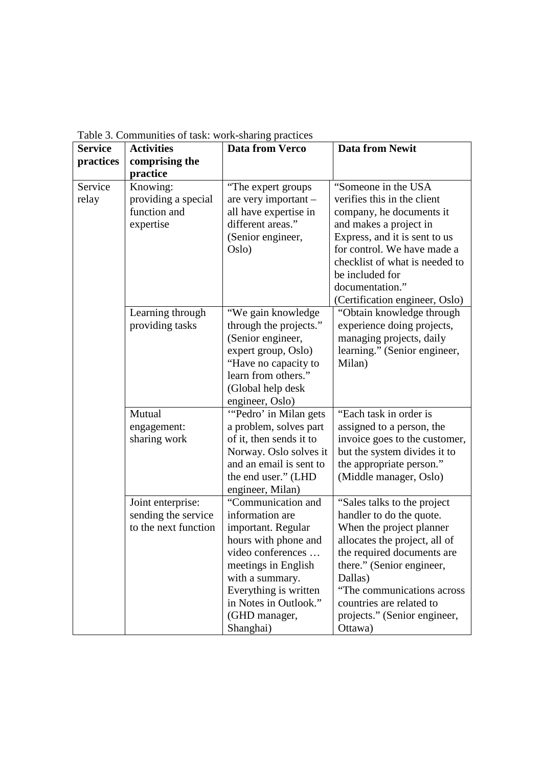| <b>Service</b> | <b>Activities</b>    | <b>Data from Verco</b>  | <b>Data from Newit</b>         |
|----------------|----------------------|-------------------------|--------------------------------|
| practices      | comprising the       |                         |                                |
|                | practice             |                         |                                |
| Service        | Knowing:             | "The expert groups"     | "Someone in the USA            |
| relay          | providing a special  | are very important -    | verifies this in the client    |
|                | function and         | all have expertise in   | company, he documents it       |
|                | expertise            | different areas."       | and makes a project in         |
|                |                      | (Senior engineer,       | Express, and it is sent to us  |
|                |                      | Oslo)                   | for control. We have made a    |
|                |                      |                         | checklist of what is needed to |
|                |                      |                         | be included for                |
|                |                      |                         | documentation."                |
|                |                      |                         | (Certification engineer, Oslo) |
|                | Learning through     | "We gain knowledge      | "Obtain knowledge through      |
|                | providing tasks      | through the projects."  | experience doing projects,     |
|                |                      | (Senior engineer,       | managing projects, daily       |
|                |                      | expert group, Oslo)     | learning." (Senior engineer,   |
|                |                      | "Have no capacity to    | Milan)                         |
|                |                      | learn from others."     |                                |
|                |                      | (Global help desk       |                                |
|                |                      | engineer, Oslo)         |                                |
|                | Mutual               | "Pedro' in Milan gets   | "Each task in order is         |
|                | engagement:          | a problem, solves part  | assigned to a person, the      |
|                | sharing work         | of it, then sends it to | invoice goes to the customer,  |
|                |                      | Norway. Oslo solves it  | but the system divides it to   |
|                |                      | and an email is sent to | the appropriate person."       |
|                |                      | the end user." (LHD     | (Middle manager, Oslo)         |
|                |                      | engineer, Milan)        |                                |
|                | Joint enterprise:    | "Communication and      | "Sales talks to the project"   |
|                | sending the service  | information are         | handler to do the quote.       |
|                | to the next function | important. Regular      | When the project planner       |
|                |                      | hours with phone and    | allocates the project, all of  |
|                |                      | video conferences       | the required documents are     |
|                |                      | meetings in English     | there." (Senior engineer,      |
|                |                      | with a summary.         | Dallas)                        |
|                |                      | Everything is written   | "The communications across     |
|                |                      | in Notes in Outlook."   | countries are related to       |
|                |                      | (GHD manager,           | projects." (Senior engineer,   |
|                |                      | Shanghai)               | Ottawa)                        |

Table 3. Communities of task: work-sharing practices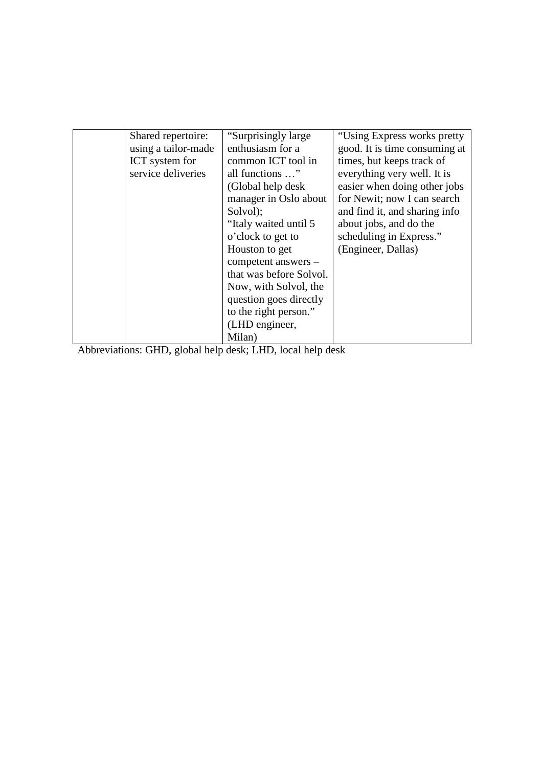| Shared repertoire:  | "Surprisingly large"    | "Using Express works pretty"  |
|---------------------|-------------------------|-------------------------------|
| using a tailor-made | enthusiasm for a        | good. It is time consuming at |
| ICT system for      | common ICT tool in      | times, but keeps track of     |
| service deliveries  | all functions "         | everything very well. It is   |
|                     | (Global help desk)      | easier when doing other jobs  |
|                     | manager in Oslo about   | for Newit; now I can search   |
|                     | Solvol);                | and find it, and sharing info |
|                     | "Italy waited until 5   | about jobs, and do the        |
|                     | o'clock to get to       | scheduling in Express."       |
|                     | Houston to get          | (Engineer, Dallas)            |
|                     | competent answers -     |                               |
|                     | that was before Solvol. |                               |
|                     | Now, with Solvol, the   |                               |
|                     | question goes directly  |                               |
|                     | to the right person."   |                               |
|                     | (LHD engineer,          |                               |
|                     | Milan)                  |                               |

Abbreviations: GHD, global help desk; LHD, local help desk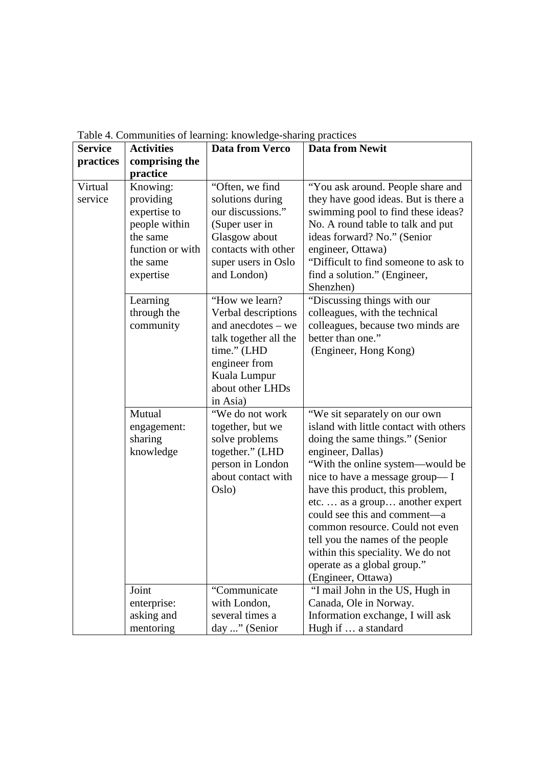| <b>Service</b> | <b>Activities</b> | raone il communico oi nummigi uno medge onumig praetices<br><b>Data from Verco</b> | <b>Data from Newit</b>                 |
|----------------|-------------------|------------------------------------------------------------------------------------|----------------------------------------|
| practices      | comprising the    |                                                                                    |                                        |
|                | practice          |                                                                                    |                                        |
| Virtual        | Knowing:          | "Often, we find                                                                    | "You ask around. People share and      |
| service        | providing         | solutions during                                                                   | they have good ideas. But is there a   |
|                | expertise to      | our discussions."                                                                  | swimming pool to find these ideas?     |
|                | people within     | (Super user in                                                                     | No. A round table to talk and put      |
|                | the same          | Glasgow about                                                                      | ideas forward? No." (Senior            |
|                | function or with  | contacts with other                                                                | engineer, Ottawa)                      |
|                | the same          | super users in Oslo                                                                | "Difficult to find someone to ask to   |
|                | expertise         | and London)                                                                        | find a solution." (Engineer,           |
|                |                   |                                                                                    | Shenzhen)                              |
|                | Learning          | "How we learn?                                                                     | "Discussing things with our            |
|                | through the       | Verbal descriptions                                                                | colleagues, with the technical         |
|                | community         | and anecdotes $-$ we                                                               | colleagues, because two minds are      |
|                |                   | talk together all the                                                              | better than one."                      |
|                |                   | time." (LHD                                                                        | (Engineer, Hong Kong)                  |
|                |                   | engineer from                                                                      |                                        |
|                |                   | Kuala Lumpur                                                                       |                                        |
|                |                   | about other LHDs                                                                   |                                        |
|                |                   | in Asia)                                                                           |                                        |
|                | Mutual            | "We do not work                                                                    | "We sit separately on our own          |
|                | engagement:       | together, but we                                                                   | island with little contact with others |
|                | sharing           | solve problems                                                                     | doing the same things." (Senior        |
|                | knowledge         | together." (LHD                                                                    | engineer, Dallas)                      |
|                |                   | person in London                                                                   | "With the online system—would be       |
|                |                   | about contact with                                                                 | nice to have a message group—I         |
|                |                   | Oslo)                                                                              | have this product, this problem,       |
|                |                   |                                                                                    | etc as a group another expert          |
|                |                   |                                                                                    | could see this and comment—a           |
|                |                   |                                                                                    | common resource. Could not even        |
|                |                   |                                                                                    | tell you the names of the people       |
|                |                   |                                                                                    | within this speciality. We do not      |
|                |                   |                                                                                    | operate as a global group."            |
|                |                   |                                                                                    | (Engineer, Ottawa)                     |
|                | Joint             | "Communicate                                                                       | "I mail John in the US, Hugh in        |
|                | enterprise:       | with London,<br>several times a                                                    | Canada, Ole in Norway.                 |
|                | asking and        |                                                                                    | Information exchange, I will ask       |
|                | mentoring         | day " (Senior                                                                      | Hugh if  a standard                    |

Table 4. Communities of learning: knowledge-sharing practices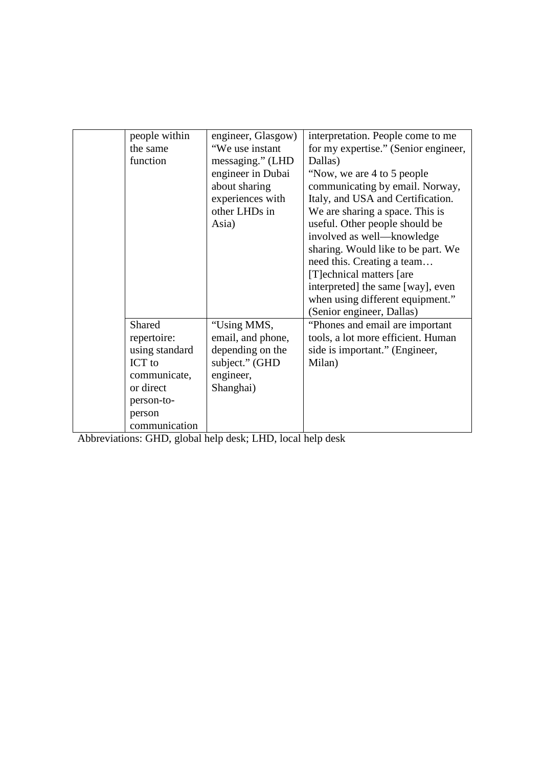| people within  | engineer, Glasgow) | interpretation. People come to me    |
|----------------|--------------------|--------------------------------------|
| the same       | "We use instant    | for my expertise." (Senior engineer, |
| function       | messaging." (LHD   | Dallas)                              |
|                | engineer in Dubai  | "Now, we are 4 to 5 people"          |
|                | about sharing      | communicating by email. Norway,      |
|                | experiences with   | Italy, and USA and Certification.    |
|                | other LHDs in      | We are sharing a space. This is      |
|                | Asia)              | useful. Other people should be       |
|                |                    | involved as well—knowledge           |
|                |                    | sharing. Would like to be part. We   |
|                |                    | need this. Creating a team           |
|                |                    | [T] echnical matters [are            |
|                |                    | interpreted] the same [way], even    |
|                |                    | when using different equipment."     |
|                |                    | (Senior engineer, Dallas)            |
| <b>Shared</b>  | "Using MMS,        | "Phones and email are important"     |
| repertoire:    | email, and phone,  | tools, a lot more efficient. Human   |
| using standard | depending on the   | side is important." (Engineer,       |
| ICT to         | subject." (GHD     | Milan)                               |
| communicate,   | engineer,          |                                      |
| or direct      | Shanghai)          |                                      |
| person-to-     |                    |                                      |
| person         |                    |                                      |
| communication  |                    |                                      |

Abbreviations: GHD, global help desk; LHD, local help desk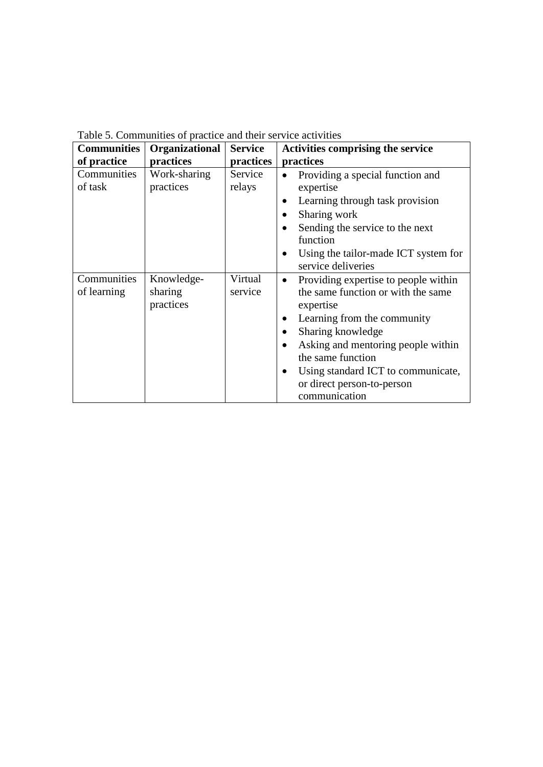| <b>Communities</b><br>of practice | Organizational<br>practices        | <b>Service</b><br>practices | Activities comprising the service<br>practices                                                                                                                                                                                                                                                                                               |
|-----------------------------------|------------------------------------|-----------------------------|----------------------------------------------------------------------------------------------------------------------------------------------------------------------------------------------------------------------------------------------------------------------------------------------------------------------------------------------|
| Communities<br>of task            | Work-sharing<br>practices          | Service<br>relays           | Providing a special function and<br>$\bullet$<br>expertise<br>Learning through task provision<br>٠<br>Sharing work<br>Sending the service to the next<br>function<br>Using the tailor-made ICT system for<br>$\bullet$<br>service deliveries                                                                                                 |
| Communities<br>of learning        | Knowledge-<br>sharing<br>practices | Virtual<br>service          | Providing expertise to people within<br>$\bullet$<br>the same function or with the same<br>expertise<br>Learning from the community<br>٠<br>Sharing knowledge<br>٠<br>Asking and mentoring people within<br>$\bullet$<br>the same function<br>Using standard ICT to communicate,<br>$\bullet$<br>or direct person-to-person<br>communication |

Table 5. Communities of practice and their service activities